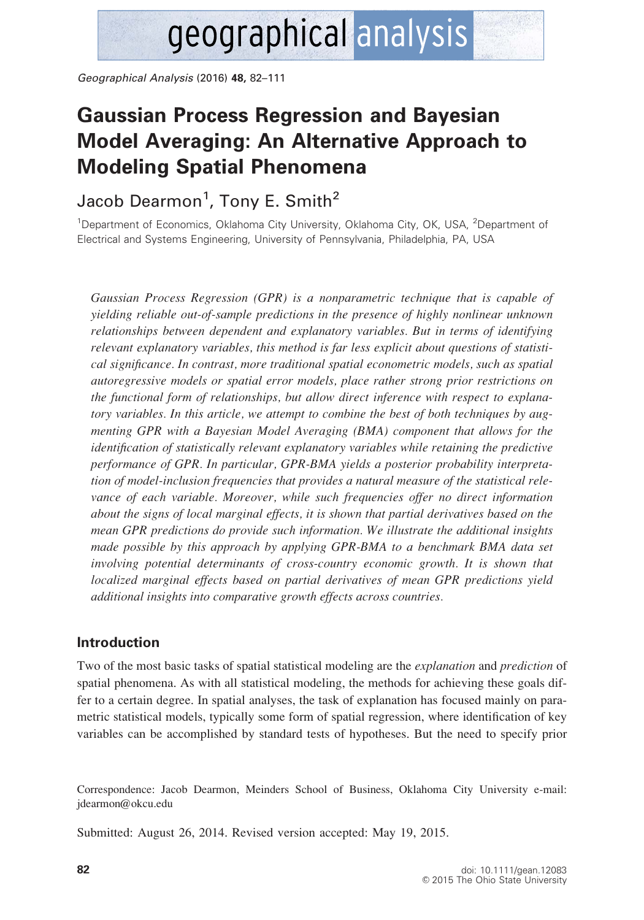# geographical analysis

Geographical Analysis (2016) 48, 82–111

## Gaussian Process Regression and Bayesian Model Averaging: An Alternative Approach to Modeling Spatial Phenomena

### Jacob Dearmon<sup>1</sup>, Tony E. Smith<sup>2</sup>

<sup>1</sup>Department of Economics, Oklahoma City University, Oklahoma City, OK, USA, <sup>2</sup>Department of Electrical and Systems Engineering, University of Pennsylvania, Philadelphia, PA, USA

Gaussian Process Regression (GPR) is a nonparametric technique that is capable of yielding reliable out-of-sample predictions in the presence of highly nonlinear unknown relationships between dependent and explanatory variables. But in terms of identifying relevant explanatory variables, this method is far less explicit about questions of statistical significance. In contrast, more traditional spatial econometric models, such as spatial autoregressive models or spatial error models, place rather strong prior restrictions on the functional form of relationships, but allow direct inference with respect to explanatory variables. In this article, we attempt to combine the best of both techniques by augmenting GPR with a Bayesian Model Averaging (BMA) component that allows for the identification of statistically relevant explanatory variables while retaining the predictive performance of GPR. In particular, GPR-BMA yields a posterior probability interpretation of model-inclusion frequencies that provides a natural measure of the statistical relevance of each variable. Moreover, while such frequencies offer no direct information about the signs of local marginal effects, it is shown that partial derivatives based on the mean GPR predictions do provide such information. We illustrate the additional insights made possible by this approach by applying GPR-BMA to a benchmark BMA data set involving potential determinants of cross-country economic growth. It is shown that localized marginal effects based on partial derivatives of mean GPR predictions yield additional insights into comparative growth effects across countries.

#### Introduction

Two of the most basic tasks of spatial statistical modeling are the *explanation* and *prediction* of spatial phenomena. As with all statistical modeling, the methods for achieving these goals differ to a certain degree. In spatial analyses, the task of explanation has focused mainly on parametric statistical models, typically some form of spatial regression, where identification of key variables can be accomplished by standard tests of hypotheses. But the need to specify prior

Correspondence: Jacob Dearmon, Meinders School of Business, Oklahoma City University e-mail: jdearmon@okcu.edu

Submitted: August 26, 2014. Revised version accepted: May 19, 2015.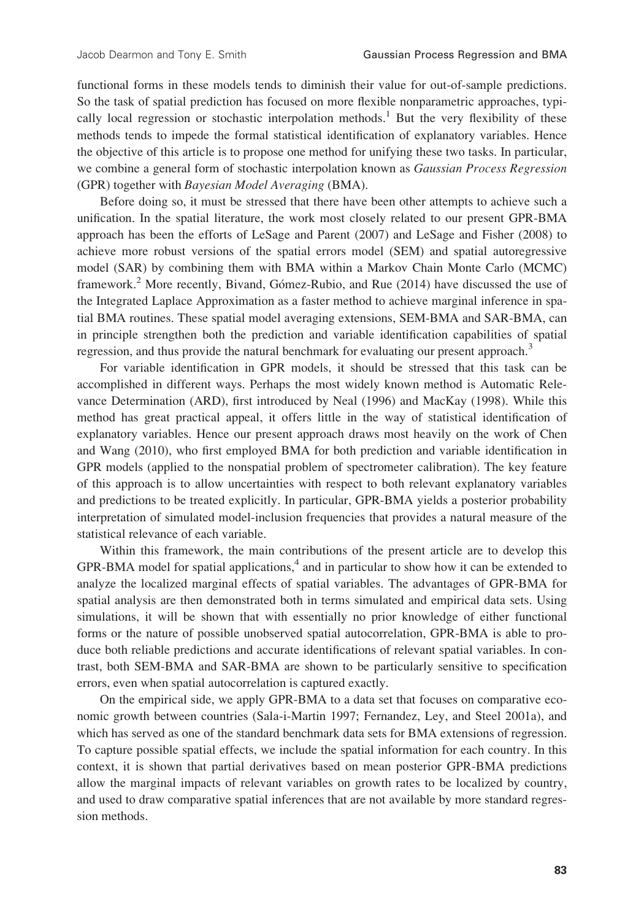functional forms in these models tends to diminish their value for out-of-sample predictions. So the task of spatial prediction has focused on more flexible nonparametric approaches, typically local regression or stochastic interpolation methods.<sup>1</sup> But the very flexibility of these methods tends to impede the formal statistical identification of explanatory variables. Hence the objective of this article is to propose one method for unifying these two tasks. In particular, we combine a general form of stochastic interpolation known as *Gaussian Process Regression* (GPR) together with Bayesian Model Averaging (BMA).

Before doing so, it must be stressed that there have been other attempts to achieve such a unification. In the spatial literature, the work most closely related to our present GPR-BMA approach has been the efforts of LeSage and Parent (2007) and LeSage and Fisher (2008) to achieve more robust versions of the spatial errors model (SEM) and spatial autoregressive model (SAR) by combining them with BMA within a Markov Chain Monte Carlo (MCMC) framework.<sup>2</sup> More recently, Bivand, Gómez-Rubio, and Rue (2014) have discussed the use of the Integrated Laplace Approximation as a faster method to achieve marginal inference in spatial BMA routines. These spatial model averaging extensions, SEM-BMA and SAR-BMA, can in principle strengthen both the prediction and variable identification capabilities of spatial regression, and thus provide the natural benchmark for evaluating our present approach.<sup>3</sup>

For variable identification in GPR models, it should be stressed that this task can be accomplished in different ways. Perhaps the most widely known method is Automatic Relevance Determination (ARD), first introduced by Neal (1996) and MacKay (1998). While this method has great practical appeal, it offers little in the way of statistical identification of explanatory variables. Hence our present approach draws most heavily on the work of Chen and Wang (2010), who first employed BMA for both prediction and variable identification in GPR models (applied to the nonspatial problem of spectrometer calibration). The key feature of this approach is to allow uncertainties with respect to both relevant explanatory variables and predictions to be treated explicitly. In particular, GPR-BMA yields a posterior probability interpretation of simulated model-inclusion frequencies that provides a natural measure of the statistical relevance of each variable.

Within this framework, the main contributions of the present article are to develop this GPR-BMA model for spatial applications, $<sup>4</sup>$  and in particular to show how it can be extended to</sup> analyze the localized marginal effects of spatial variables. The advantages of GPR-BMA for spatial analysis are then demonstrated both in terms simulated and empirical data sets. Using simulations, it will be shown that with essentially no prior knowledge of either functional forms or the nature of possible unobserved spatial autocorrelation, GPR-BMA is able to produce both reliable predictions and accurate identifications of relevant spatial variables. In contrast, both SEM-BMA and SAR-BMA are shown to be particularly sensitive to specification errors, even when spatial autocorrelation is captured exactly.

On the empirical side, we apply GPR-BMA to a data set that focuses on comparative economic growth between countries (Sala-i-Martin 1997; Fernandez, Ley, and Steel 2001a), and which has served as one of the standard benchmark data sets for BMA extensions of regression. To capture possible spatial effects, we include the spatial information for each country. In this context, it is shown that partial derivatives based on mean posterior GPR-BMA predictions allow the marginal impacts of relevant variables on growth rates to be localized by country, and used to draw comparative spatial inferences that are not available by more standard regression methods.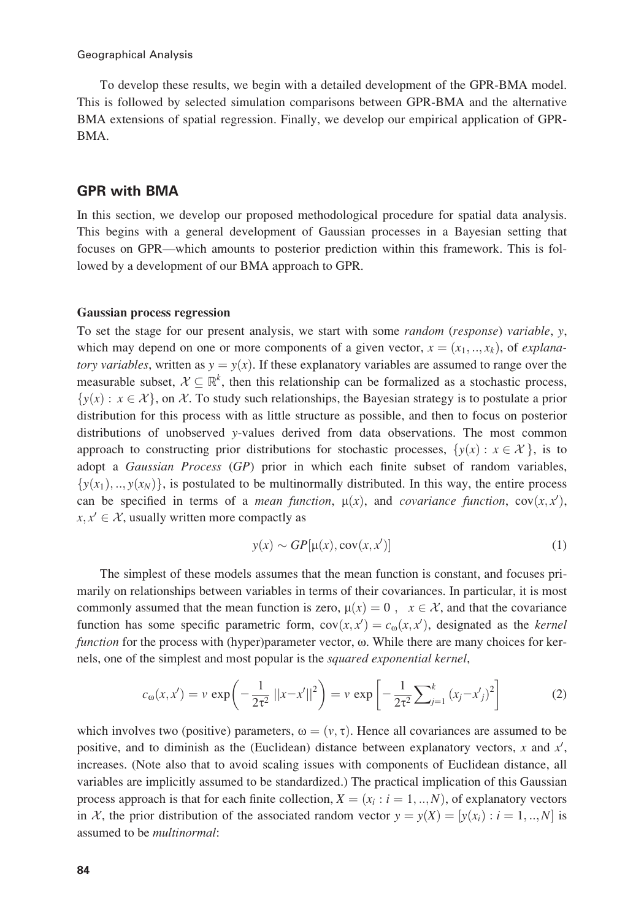#### Geographical Analysis

To develop these results, we begin with a detailed development of the GPR-BMA model. This is followed by selected simulation comparisons between GPR-BMA and the alternative BMA extensions of spatial regression. Finally, we develop our empirical application of GPR-BMA.

#### GPR with BMA

In this section, we develop our proposed methodological procedure for spatial data analysis. This begins with a general development of Gaussian processes in a Bayesian setting that focuses on GPR—which amounts to posterior prediction within this framework. This is followed by a development of our BMA approach to GPR.

#### Gaussian process regression

To set the stage for our present analysis, we start with some *random* (*response*) *variable*,  $y$ , which may depend on one or more components of a given vector,  $x = (x_1, \ldots, x_k)$ , of *explana*tory variables, written as  $y = y(x)$ . If these explanatory variables are assumed to range over the measurable subset,  $X \subseteq \mathbb{R}^k$ , then this relationship can be formalized as a stochastic process,  $\{y(x): x \in \mathcal{X}\}\$ , on X. To study such relationships, the Bayesian strategy is to postulate a prior distribution for this process with as little structure as possible, and then to focus on posterior distributions of unobserved y-values derived from data observations. The most common approach to constructing prior distributions for stochastic processes,  $\{y(x): x \in \mathcal{X}\}\)$ , is to adopt a Gaussian Process (GP) prior in which each finite subset of random variables,  $\{y(x_1), \ldots, y(x_N)\}\)$ , is postulated to be multinormally distributed. In this way, the entire process can be specified in terms of a *mean function*,  $\mu(x)$ , and *covariance function*,  $cov(x, x')$ ,  $x, x' \in \mathcal{X}$ , usually written more compactly as

$$
y(x) \sim GP[\mu(x), cov(x, x')]
$$
 (1)

The simplest of these models assumes that the mean function is constant, and focuses primarily on relationships between variables in terms of their covariances. In particular, it is most commonly assumed that the mean function is zero,  $\mu(x) = 0$ ,  $x \in \mathcal{X}$ , and that the covariance function has some specific parametric form,  $cov(x, x') = c_{\omega}(x, x')$ , designated as the kernel function for the process with (hyper)parameter vector,  $\omega$ . While there are many choices for kernels, one of the simplest and most popular is the squared exponential kernel,

$$
c_{\omega}(x, x') = v \exp\left(-\frac{1}{2\tau^2}||x - x'||^2\right) = v \exp\left[-\frac{1}{2\tau^2}\sum_{j=1}^k (x_j - x'_j)^2\right]
$$
(2)

which involves two (positive) parameters,  $\omega = (v, \tau)$ . Hence all covariances are assumed to be positive, and to diminish as the (Euclidean) distance between explanatory vectors, x and  $x'$ , increases. (Note also that to avoid scaling issues with components of Euclidean distance, all variables are implicitly assumed to be standardized.) The practical implication of this Gaussian process approach is that for each finite collection,  $X = (x_i : i = 1, ..., N)$ , of explanatory vectors in X, the prior distribution of the associated random vector  $y = y(X) = [y(x_i) : i = 1, ..., N]$  is assumed to be multinormal: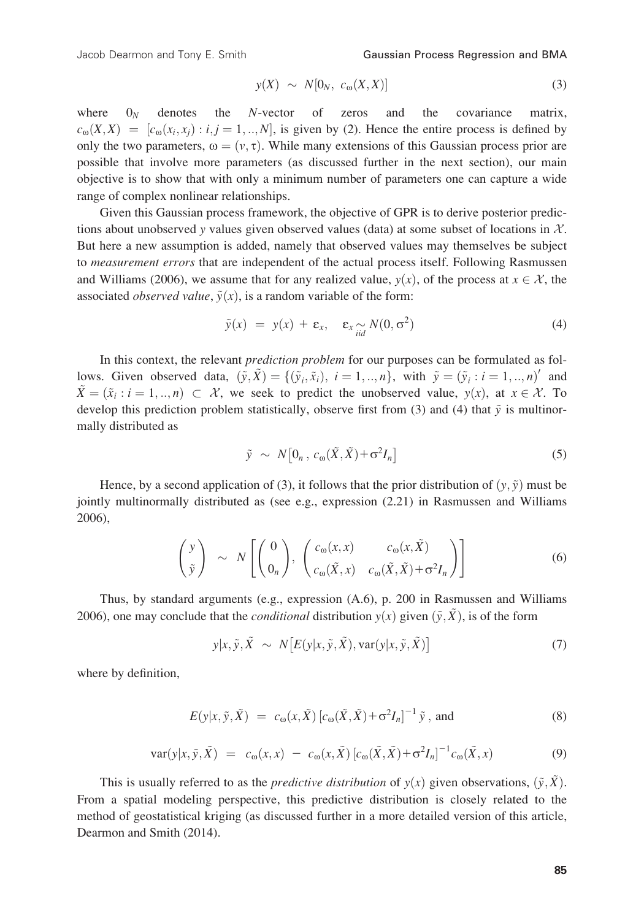$$
y(X) \sim N[0_N, c_{\omega}(X, X)] \tag{3}
$$

where  $0_N$  denotes the N-vector of zeros and the covariance matrix,  $c_{\omega}(X,X) = [c_{\omega}(x_i,x_i): i,j = 1, ..., N]$ , is given by (2). Hence the entire process is defined by only the two parameters,  $\omega = (v, \tau)$ . While many extensions of this Gaussian process prior are possible that involve more parameters (as discussed further in the next section), our main objective is to show that with only a minimum number of parameters one can capture a wide range of complex nonlinear relationships.

Given this Gaussian process framework, the objective of GPR is to derive posterior predictions about unobserved y values given observed values (data) at some subset of locations in  $\mathcal{X}$ . But here a new assumption is added, namely that observed values may themselves be subject to *measurement errors* that are independent of the actual process itself. Following Rasmussen and Williams (2006), we assume that for any realized value,  $y(x)$ , of the process at  $x \in \mathcal{X}$ , the associated *observed value*,  $\tilde{y}(x)$ , is a random variable of the form:

$$
\tilde{y}(x) = y(x) + \varepsilon_x, \quad \varepsilon_x \underset{iid}{\sim} N(0, \sigma^2)
$$
\n(4)

In this context, the relevant prediction problem for our purposes can be formulated as follows. Given observed data,  $(\tilde{y}, \tilde{X}) = \{(\tilde{y}_i, \tilde{x}_i), i = 1, ..., n\}$ , with  $\tilde{y} = (\tilde{y}_i : i = 1, ..., n)$  and  $\tilde{X} = (\tilde{x}_i : i = 1, ..., n) \subset \mathcal{X}$ , we seek to predict the unobserved value,  $y(x)$ , at  $x \in \mathcal{X}$ . To develop this prediction problem statistically, observe first from (3) and (4) that  $\tilde{y}$  is multinormally distributed as

$$
\tilde{y} \sim N\left[0_n, c_{\omega}(\tilde{X}, \tilde{X}) + \sigma^2 I_n\right] \tag{5}
$$

Hence, by a second application of (3), it follows that the prior distribution of  $(y, \tilde{y})$  must be jointly multinormally distributed as (see e.g., expression (2.21) in Rasmussen and Williams 2006),

$$
\begin{pmatrix} y \\ \tilde{y} \end{pmatrix} \sim N \left[ \begin{pmatrix} 0 \\ 0_n \end{pmatrix}, \begin{pmatrix} c_{\omega}(x, x) & c_{\omega}(x, \tilde{X}) \\ c_{\omega}(\tilde{X}, x) & c_{\omega}(\tilde{X}, \tilde{X}) + \sigma^2 I_n \end{pmatrix} \right]
$$
(6)

Thus, by standard arguments (e.g., expression (A.6), p. 200 in Rasmussen and Williams 2006), one may conclude that the *conditional* distribution  $y(x)$  given  $(\tilde{y}, \tilde{X})$ , is of the form

$$
y|x, \tilde{y}, \tilde{X} \sim N\big[E(y|x, \tilde{y}, \tilde{X}), \text{var}(y|x, \tilde{y}, \tilde{X})\big] \tag{7}
$$

where by definition,

$$
E(y|x, \tilde{y}, \tilde{X}) = c_{\omega}(x, \tilde{X}) [c_{\omega}(\tilde{X}, \tilde{X}) + \sigma^2 I_n]^{-1} \tilde{y}, \text{ and}
$$
 (8)

$$
\text{var}(y|x,\tilde{y},\tilde{X}) = c_{\omega}(x,x) - c_{\omega}(x,\tilde{X}) \left[c_{\omega}(\tilde{X},\tilde{X}) + \sigma^2 I_n\right]^{-1} c_{\omega}(\tilde{X},x) \tag{9}
$$

This is usually referred to as the *predictive distribution* of  $y(x)$  given observations,  $(\tilde{y}, \tilde{X})$ . From a spatial modeling perspective, this predictive distribution is closely related to the method of geostatistical kriging (as discussed further in a more detailed version of this article, Dearmon and Smith (2014).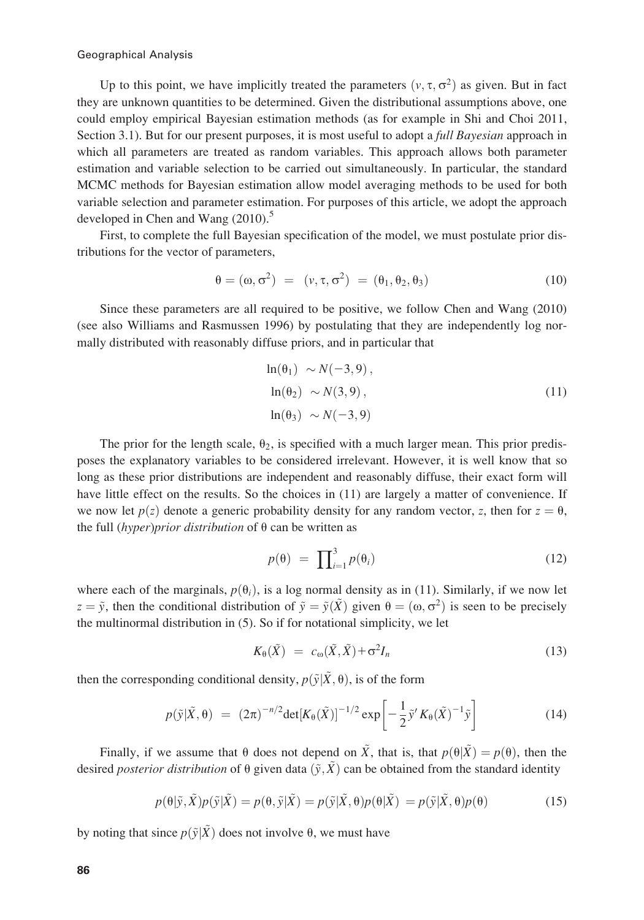#### Geographical Analysis

Up to this point, we have implicitly treated the parameters  $(v, \tau, \sigma^2)$  as given. But in fact they are unknown quantities to be determined. Given the distributional assumptions above, one could employ empirical Bayesian estimation methods (as for example in Shi and Choi 2011, Section 3.1). But for our present purposes, it is most useful to adopt a *full Bayesian* approach in which all parameters are treated as random variables. This approach allows both parameter estimation and variable selection to be carried out simultaneously. In particular, the standard MCMC methods for Bayesian estimation allow model averaging methods to be used for both variable selection and parameter estimation. For purposes of this article, we adopt the approach developed in Chen and Wang  $(2010)$ .<sup>5</sup>

First, to complete the full Bayesian specification of the model, we must postulate prior distributions for the vector of parameters,

$$
\theta = (\omega, \sigma^2) = (\nu, \tau, \sigma^2) = (\theta_1, \theta_2, \theta_3) \tag{10}
$$

Since these parameters are all required to be positive, we follow Chen and Wang (2010) (see also Williams and Rasmussen 1996) by postulating that they are independently log normally distributed with reasonably diffuse priors, and in particular that

$$
\ln(\theta_1) \sim N(-3, 9),
$$
  
\n
$$
\ln(\theta_2) \sim N(3, 9),
$$
  
\n
$$
\ln(\theta_3) \sim N(-3, 9)
$$
\n(11)

The prior for the length scale,  $\theta_2$ , is specified with a much larger mean. This prior predisposes the explanatory variables to be considered irrelevant. However, it is well know that so long as these prior distributions are independent and reasonably diffuse, their exact form will have little effect on the results. So the choices in  $(11)$  are largely a matter of convenience. If we now let  $p(z)$  denote a generic probability density for any random vector, z, then for  $z = \theta$ , the full (hyper)prior distribution of  $\theta$  can be written as

$$
p(\theta) = \prod_{i=1}^{3} p(\theta_i)
$$
 (12)

where each of the marginals,  $p(\theta_i)$ , is a log normal density as in (11). Similarly, if we now let  $z = \tilde{y}$ , then the conditional distribution of  $\tilde{y} = \tilde{y}(\tilde{X})$  given  $\theta = (\omega, \sigma^2)$  is seen to be precisely the multinormal distribution in (5). So if for notational simplicity, we let

$$
K_{\theta}(\tilde{X}) = c_{\omega}(\tilde{X}, \tilde{X}) + \sigma^2 I_n \tag{13}
$$

then the corresponding conditional density,  $p(\tilde{y}|\tilde{X}, \theta)$ , is of the form

$$
p(\tilde{\mathbf{y}}|\tilde{X},\theta) = (2\pi)^{-n/2} \det[K_{\theta}(\tilde{X})]^{-1/2} \exp\left[-\frac{1}{2}\tilde{\mathbf{y}}' K_{\theta}(\tilde{X})^{-1}\tilde{\mathbf{y}}\right]
$$
(14)

Finally, if we assume that  $\theta$  does not depend on  $\tilde{X}$ , that is, that  $p(\theta|\tilde{X}) = p(\theta)$ , then the desired *posterior distribution* of  $\theta$  given data  $(\tilde{y}, \tilde{X})$  can be obtained from the standard identity

$$
p(\theta|\tilde{y}, \tilde{X})p(\tilde{y}|\tilde{X}) = p(\theta, \tilde{y}|\tilde{X}) = p(\tilde{y}|\tilde{X}, \theta)p(\theta|\tilde{X}) = p(\tilde{y}|\tilde{X}, \theta)p(\theta)
$$
(15)

by noting that since  $p(\tilde{y}|\tilde{X})$  does not involve  $\theta$ , we must have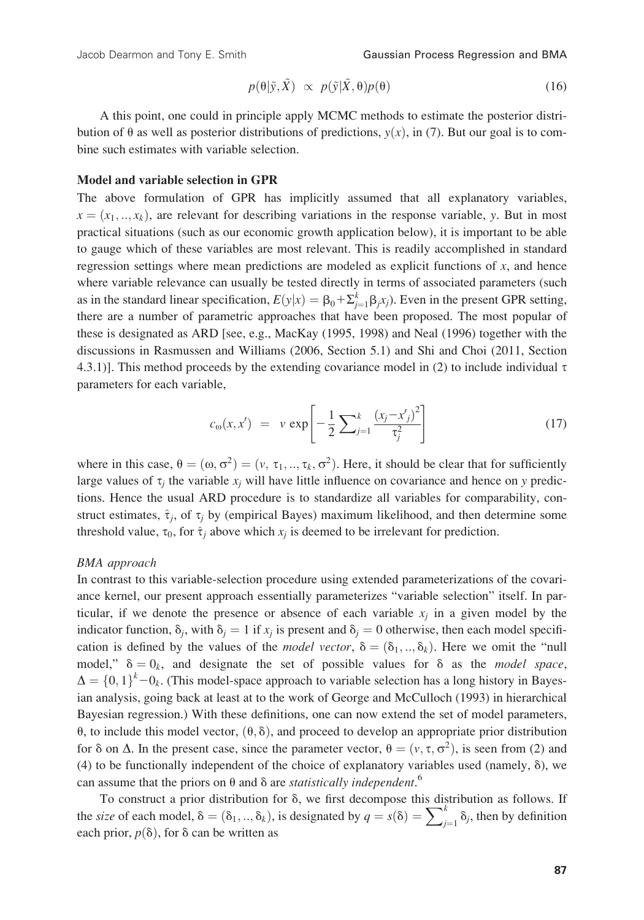$$
p(\theta|\tilde{y}, \tilde{X}) \propto p(\tilde{y}|\tilde{X}, \theta)p(\theta) \tag{16}
$$

A this point, one could in principle apply MCMC methods to estimate the posterior distribution of  $\theta$  as well as posterior distributions of predictions,  $y(x)$ , in (7). But our goal is to combine such estimates with variable selection.

#### Model and variable selection in GPR

The above formulation of GPR has implicitly assumed that all explanatory variables,  $x = (x_1, \ldots, x_k)$ , are relevant for describing variations in the response variable, y. But in most practical situations (such as our economic growth application below), it is important to be able to gauge which of these variables are most relevant. This is readily accomplished in standard regression settings where mean predictions are modeled as explicit functions of x, and hence where variable relevance can usually be tested directly in terms of associated parameters (such as in the standard linear specification,  $E(y|x) = \beta_0 + \sum_{j=1}^k \beta_j x_j$ ). Even in the present GPR setting, there are a number of parametric approaches that have been proposed. The most popular of these is designated as ARD [see, e.g., MacKay (1995, 1998) and Neal (1996) together with the discussions in Rasmussen and Williams (2006, Section 5.1) and Shi and Choi (2011, Section 4.3.1)]. This method proceeds by the extending covariance model in (2) to include individual  $\tau$ parameters for each variable,

$$
c_{\omega}(x, x') = v \exp\left[-\frac{1}{2}\sum_{j=1}^{k} \frac{(x_j - x'_j)^2}{\tau_j^2}\right]
$$
(17)

where in this case,  $\theta = (\omega, \sigma^2) = (v, \tau_1, ..., \tau_k, \sigma^2)$ . Here, it should be clear that for sufficiently large values of  $\tau_i$  the variable  $x_i$  will have little influence on covariance and hence on y predictions. Hence the usual ARD procedure is to standardize all variables for comparability, construct estimates,  $\hat{\tau}_i$ , of  $\tau_i$  by (empirical Bayes) maximum likelihood, and then determine some threshold value,  $\tau_0$ , for  $\hat{\tau}_i$  above which  $x_i$  is deemed to be irrelevant for prediction.

#### BMA approach

In contrast to this variable-selection procedure using extended parameterizations of the covariance kernel, our present approach essentially parameterizes "variable selection" itself. In particular, if we denote the presence or absence of each variable  $x_i$  in a given model by the indicator function,  $\delta_i$ , with  $\delta_i = 1$  if  $x_i$  is present and  $\delta_i = 0$  otherwise, then each model specification is defined by the values of the *model vector*,  $\delta = (\delta_1, \ldots, \delta_k)$ . Here we omit the "null model,"  $\delta = 0_k$ , and designate the set of possible values for  $\delta$  as the *model space*,  $\Delta = \{0, 1\}^{k} - 0_{k}$ . (This model-space approach to variable selection has a long history in Bayesian analysis, going back at least at to the work of George and McCulloch (1993) in hierarchical Bayesian regression.) With these definitions, one can now extend the set of model parameters,  $\theta$ , to include this model vector,  $(\theta, \delta)$ , and proceed to develop an appropriate prior distribution for  $\delta$  on  $\Delta$ . In the present case, since the parameter vector,  $\theta = (v, \tau, \sigma^2)$ , is seen from (2) and (4) to be functionally independent of the choice of explanatory variables used (namely,  $\delta$ ), we can assume that the priors on  $\theta$  and  $\delta$  are *statistically independent*.<sup>6</sup>

To construct a prior distribution for  $\delta$ , we first decompose this distribution as follows. If the *size* of each model,  $\delta = (\delta_1, ..., \delta_k)$ , is designated by  $q = s(\delta) = \sum_{j=1}^k \delta_j$ , then by definition each prior,  $p(\delta)$ , for  $\delta$  can be written as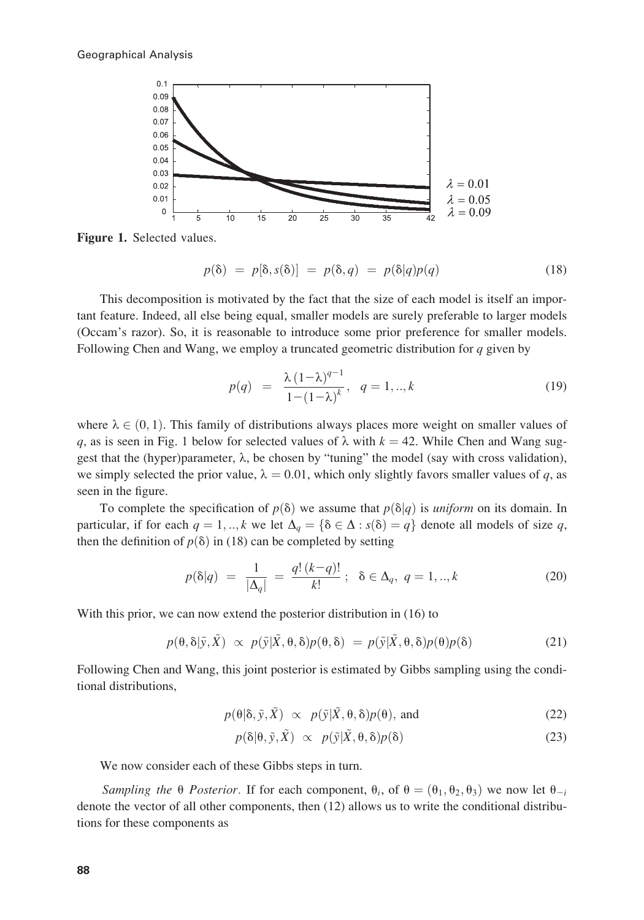

Figure 1. Selected values.

$$
p(\delta) = p[\delta, s(\delta)] = p(\delta, q) = p(\delta|q)p(q)
$$
\n(18)

This decomposition is motivated by the fact that the size of each model is itself an important feature. Indeed, all else being equal, smaller models are surely preferable to larger models (Occam's razor). So, it is reasonable to introduce some prior preference for smaller models. Following Chen and Wang, we employ a truncated geometric distribution for  $q$  given by

$$
p(q) = \frac{\lambda (1 - \lambda)^{q-1}}{1 - (1 - \lambda)^k}, \quad q = 1, ..., k
$$
 (19)

where  $\lambda \in (0, 1)$ . This family of distributions always places more weight on smaller values of q, as is seen in Fig. 1 below for selected values of  $\lambda$  with  $k = 42$ . While Chen and Wang suggest that the (hyper)parameter,  $\lambda$ , be chosen by "tuning" the model (say with cross validation), we simply selected the prior value,  $\lambda = 0.01$ , which only slightly favors smaller values of q, as seen in the figure.

To complete the specification of  $p(\delta)$  we assume that  $p(\delta|q)$  is *uniform* on its domain. In particular, if for each  $q = 1,..,k$  we let  $\Delta_q = \{\delta \in \Delta : s(\delta) = q\}$  denote all models of size q, then the definition of  $p(\delta)$  in (18) can be completed by setting

$$
p(\delta|q) = \frac{1}{|\Delta_q|} = \frac{q!(k-q)!}{k!} ; \ \ \delta \in \Delta_q, \ q = 1,..,k
$$
 (20)

With this prior, we can now extend the posterior distribution in (16) to

$$
p(\theta, \delta | \tilde{y}, \tilde{X}) \propto p(\tilde{y} | \tilde{X}, \theta, \delta) p(\theta, \delta) = p(\tilde{y} | \tilde{X}, \theta, \delta) p(\theta) p(\delta)
$$
\n(21)

Following Chen and Wang, this joint posterior is estimated by Gibbs sampling using the conditional distributions,

$$
p(\theta|\delta, \tilde{y}, \tilde{X}) \propto p(\tilde{y}|\tilde{X}, \theta, \delta)p(\theta), \text{ and}
$$
 (22)

$$
p(\delta|\theta, \tilde{y}, \tilde{X}) \propto p(\tilde{y}|\tilde{X}, \theta, \delta)p(\delta)
$$
\n(23)

We now consider each of these Gibbs steps in turn.

Sampling the  $\theta$  Posterior. If for each component,  $\theta_i$ , of  $\theta = (\theta_1, \theta_2, \theta_3)$  we now let  $\theta_{-i}$ denote the vector of all other components, then (12) allows us to write the conditional distributions for these components as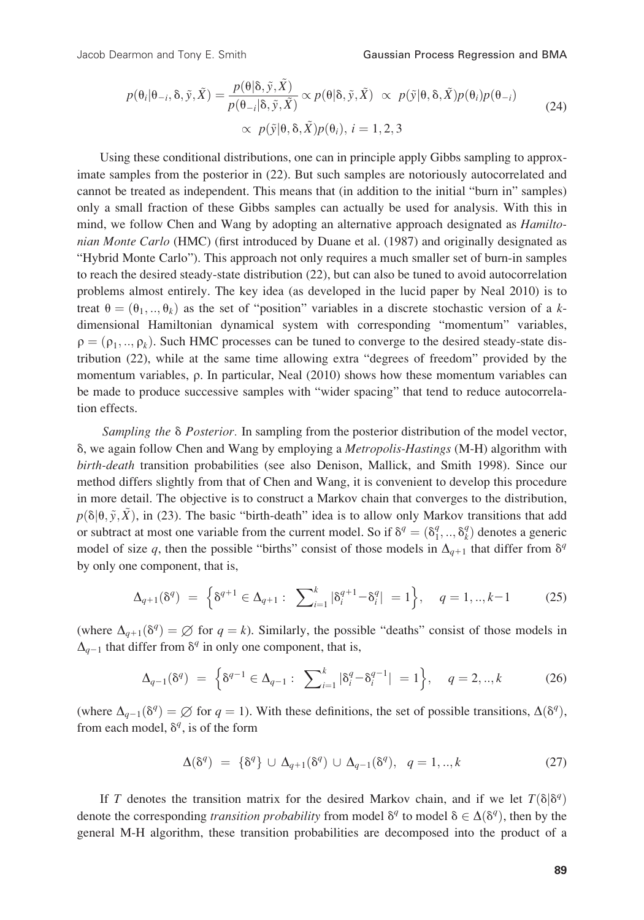$$
p(\theta_i|\theta_{-i}, \delta, \tilde{y}, \tilde{X}) = \frac{p(\theta|\delta, \tilde{y}, \tilde{X})}{p(\theta_{-i}|\delta, \tilde{y}, \tilde{X})} \propto p(\theta|\delta, \tilde{y}, \tilde{X}) \propto p(\tilde{y}|\theta, \delta, \tilde{X})p(\theta_i)p(\theta_{-i})
$$
  
 
$$
\propto p(\tilde{y}|\theta, \delta, \tilde{X})p(\theta_i), i = 1, 2, 3
$$
 (24)

Using these conditional distributions, one can in principle apply Gibbs sampling to approximate samples from the posterior in (22). But such samples are notoriously autocorrelated and cannot be treated as independent. This means that (in addition to the initial "burn in" samples) only a small fraction of these Gibbs samples can actually be used for analysis. With this in mind, we follow Chen and Wang by adopting an alternative approach designated as *Hamilto*nian Monte Carlo (HMC) (first introduced by Duane et al. (1987) and originally designated as "Hybrid Monte Carlo"). This approach not only requires a much smaller set of burn-in samples to reach the desired steady-state distribution (22), but can also be tuned to avoid autocorrelation problems almost entirely. The key idea (as developed in the lucid paper by Neal 2010) is to treat  $\theta = (\theta_1, ..., \theta_k)$  as the set of "position" variables in a discrete stochastic version of a kdimensional Hamiltonian dynamical system with corresponding "momentum" variables,  $\rho = (\rho_1, ..., \rho_k)$ . Such HMC processes can be tuned to converge to the desired steady-state distribution (22), while at the same time allowing extra "degrees of freedom" provided by the momentum variables,  $\rho$ . In particular, Neal (2010) shows how these momentum variables can be made to produce successive samples with "wider spacing" that tend to reduce autocorrelation effects.

Sampling the  $\delta$  Posterior. In sampling from the posterior distribution of the model vector,  $\delta$ , we again follow Chen and Wang by employing a *Metropolis-Hastings* (M-H) algorithm with birth-death transition probabilities (see also Denison, Mallick, and Smith 1998). Since our method differs slightly from that of Chen and Wang, it is convenient to develop this procedure in more detail. The objective is to construct a Markov chain that converges to the distribution,  $p(\delta|\theta, \tilde{y}, \tilde{X})$ , in (23). The basic "birth-death" idea is to allow only Markov transitions that add or subtract at most one variable from the current model. So if  $\delta^q = (\delta_1^q, ..., \delta_k^q)$  denotes a generic model of size q, then the possible "births" consist of those models in  $\Delta_{q+1}$  that differ from  $\delta^q$ by only one component, that is,

$$
\Delta_{q+1}(\delta^q) = \left\{ \delta^{q+1} \in \Delta_{q+1} : \sum_{i=1}^k |\delta_i^{q+1} - \delta_i^q| = 1 \right\}, \quad q = 1,..,k-1 \quad (25)
$$

(where  $\Delta_{q+1}(\delta^q) = \emptyset$  for  $q = k$ ). Similarly, the possible "deaths" consist of those models in  $\Delta_{q-1}$  that differ from  $\delta^q$  in only one component, that is,

$$
\Delta_{q-1}(\delta^q) = \left\{ \delta^{q-1} \in \Delta_{q-1} : \sum_{i=1}^k |\delta_i^q - \delta_i^{q-1}| = 1 \right\}, \quad q = 2,..,k \tag{26}
$$

(where  $\Delta_{q-1}(\delta^q) = \emptyset$  for  $q = 1$ ). With these definitions, the set of possible transitions,  $\Delta(\delta^q)$ , from each model,  $\delta^q$ , is of the form

$$
\Delta(\delta^q) = {\delta^q} \cup \Delta_{q+1}(\delta^q) \cup \Delta_{q-1}(\delta^q), \quad q = 1,..,k
$$
 (27)

If T denotes the transition matrix for the desired Markov chain, and if we let  $T(\delta|\delta^q)$ denote the corresponding *transition probability* from model  $\delta^q$  to model  $\delta \in \Delta(\delta^q)$ , then by the general M-H algorithm, these transition probabilities are decomposed into the product of a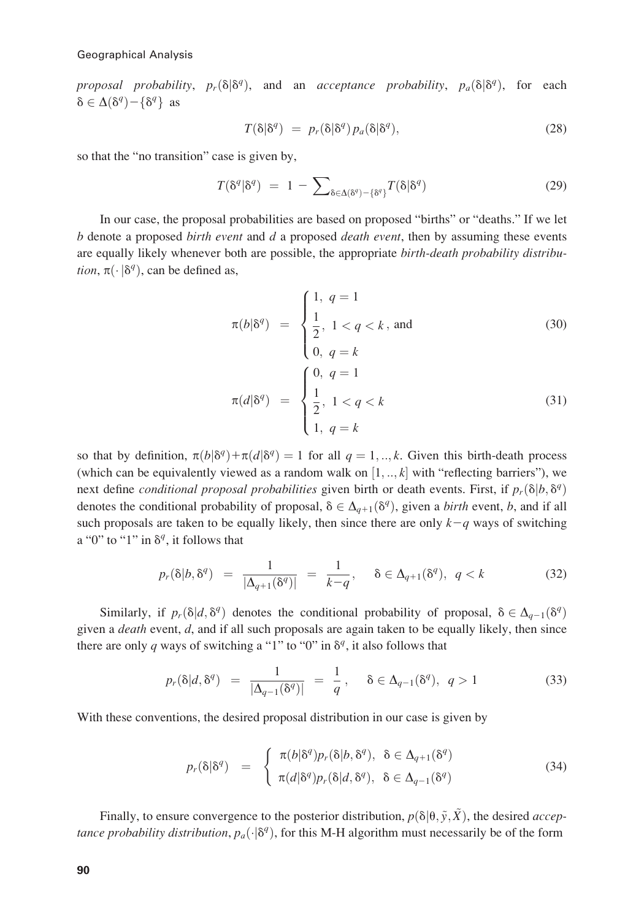proposal probability,  $p_r(\delta|\delta^q)$ , and an acceptance probability,  $p_a(\delta|\delta^q)$ , for each  $\delta \in \Delta(\delta^q) - {\delta^q}$  as

$$
T(\delta|\delta^q) = p_r(\delta|\delta^q) p_a(\delta|\delta^q), \qquad (28)
$$

so that the "no transition" case is given by,

$$
T(\delta^q|\delta^q) = 1 - \sum_{\delta \in \Delta(\delta^q) - {\delta^q}^1} T(\delta|\delta^q)
$$
 (29)

In our case, the proposal probabilities are based on proposed "births" or "deaths." If we let b denote a proposed birth event and d a proposed death event, then by assuming these events are equally likely whenever both are possible, the appropriate *birth-death probability distribution*,  $\pi(\cdot | \delta^q)$ , can be defined as,

$$
\pi(b|\delta^{q}) = \begin{cases}\n1, q = 1 \\
\frac{1}{2}, 1 < q < k, \text{ and} \\
0, q = k\n\end{cases}
$$
\n(30)\n
$$
\pi(d|\delta^{q}) = \begin{cases}\n0, q = 1 \\
\frac{1}{2}, 1 < q < k \\
1, q = k\n\end{cases}
$$
\n(31)

so that by definition,  $\pi(b|\delta^q) + \pi(d|\delta^q) = 1$  for all  $q = 1, \dots, k$ . Given this birth-death process (which can be equivalently viewed as a random walk on  $[1, \ldots, k]$  with "reflecting barriers"), we next define conditional proposal probabilities given birth or death events. First, if  $p_r(\delta|b, \delta^q)$ denotes the conditional probability of proposal,  $\delta \in \Delta_{q+1}(\delta^q)$ , given a *birth* event, b, and if all such proposals are taken to be equally likely, then since there are only  $k-q$  ways of switching a "0" to "1" in  $\delta^q$ , it follows that

$$
p_r(\delta|b,\delta^q) = \frac{1}{|\Delta_{q+1}(\delta^q)|} = \frac{1}{k-q}, \quad \delta \in \Delta_{q+1}(\delta^q), \ q < k \tag{32}
$$

Similarly, if  $p_r(\delta|d, \delta^q)$  denotes the conditional probability of proposal,  $\delta \in \Delta_{q-1}(\delta^q)$ given a *death* event,  $d$ , and if all such proposals are again taken to be equally likely, then since there are only q ways of switching a "1" to "0" in  $\delta^q$ , it also follows that

$$
p_r(\delta|d, \delta^q) = \frac{1}{|\Delta_{q-1}(\delta^q)|} = \frac{1}{q}, \quad \delta \in \Delta_{q-1}(\delta^q), \ q > 1 \tag{33}
$$

With these conventions, the desired proposal distribution in our case is given by

$$
p_r(\delta|\delta^q) = \begin{cases} \pi(b|\delta^q)p_r(\delta|b,\delta^q), & \delta \in \Delta_{q+1}(\delta^q) \\ \pi(d|\delta^q)p_r(\delta|d,\delta^q), & \delta \in \Delta_{q-1}(\delta^q) \end{cases}
$$
(34)

Finally, to ensure convergence to the posterior distribution,  $p(\delta|\theta, \tilde{y}, \tilde{X})$ , the desired *accep*tance probability distribution,  $p_a(\cdot|\delta^q)$ , for this M-H algorithm must necessarily be of the form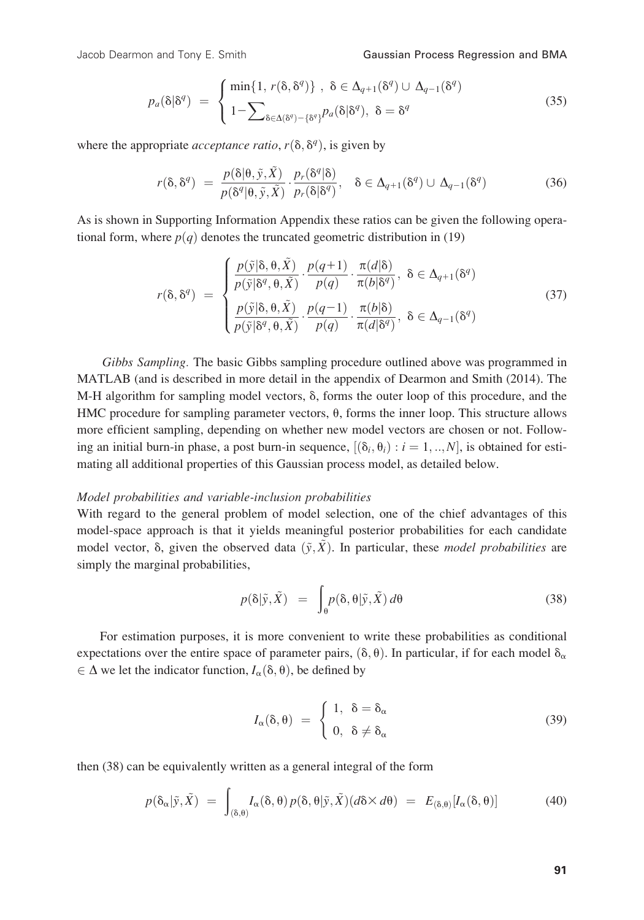$$
p_a(\delta|\delta^q) = \begin{cases} \min\{1, r(\delta, \delta^q)\}, & \delta \in \Delta_{q+1}(\delta^q) \cup \Delta_{q-1}(\delta^q) \\ 1 - \sum_{\delta \in \Delta(\delta^q) - \{\delta^q\}} p_a(\delta|\delta^q), & \delta = \delta^q \end{cases}
$$
(35)

where the appropriate *acceptance ratio*,  $r(\delta, \delta^q)$ , is given by

$$
r(\delta, \delta^q) = \frac{p(\delta | \theta, \tilde{y}, \tilde{X})}{p(\delta^q | \theta, \tilde{y}, \tilde{X})} \cdot \frac{p_r(\delta^q | \delta)}{p_r(\delta | \delta^q)}, \quad \delta \in \Delta_{q+1}(\delta^q) \cup \Delta_{q-1}(\delta^q)
$$
(36)

As is shown in Supporting Information Appendix these ratios can be given the following operational form, where  $p(q)$  denotes the truncated geometric distribution in (19)

$$
r(\delta, \delta^q) = \begin{cases} \frac{p(\tilde{y}|\delta, \theta, \tilde{X})}{p(\tilde{y}|\delta^q, \theta, \tilde{X})} \cdot \frac{p(q+1)}{p(q)} \cdot \frac{\pi(d|\delta)}{\pi(b|\delta^q)}, \ \delta \in \Delta_{q+1}(\delta^q) \\ \frac{p(\tilde{y}|\delta, \theta, \tilde{X})}{p(\tilde{y}|\delta^q, \theta, \tilde{X})} \cdot \frac{p(q-1)}{p(q)} \cdot \frac{\pi(b|\delta)}{\pi(d|\delta^q)}, \ \delta \in \Delta_{q-1}(\delta^q) \end{cases}
$$
(37)

Gibbs Sampling. The basic Gibbs sampling procedure outlined above was programmed in MATLAB (and is described in more detail in the appendix of Dearmon and Smith (2014). The M-H algorithm for sampling model vectors,  $\delta$ , forms the outer loop of this procedure, and the HMC procedure for sampling parameter vectors,  $\theta$ , forms the inner loop. This structure allows more efficient sampling, depending on whether new model vectors are chosen or not. Following an initial burn-in phase, a post burn-in sequence,  $[(\delta_i, \theta_i) : i = 1, ..., N]$ , is obtained for estimating all additional properties of this Gaussian process model, as detailed below.

#### Model probabilities and variable-inclusion probabilities

With regard to the general problem of model selection, one of the chief advantages of this model-space approach is that it yields meaningful posterior probabilities for each candidate model vector,  $\delta$ , given the observed data  $(\tilde{y}, \tilde{X})$ . In particular, these *model probabilities* are simply the marginal probabilities,

$$
p(\delta|\tilde{y}, \tilde{X}) = \int_{\theta} p(\delta, \theta|\tilde{y}, \tilde{X}) d\theta \qquad (38)
$$

For estimation purposes, it is more convenient to write these probabilities as conditional expectations over the entire space of parameter pairs,  $(\delta, \theta)$ . In particular, if for each model  $\delta_{\alpha}$  $\in \Delta$  we let the indicator function,  $I_{\alpha}(\delta, \theta)$ , be defined by

$$
I_{\alpha}(\delta, \theta) = \begin{cases} 1, & \delta = \delta_{\alpha} \\ 0, & \delta \neq \delta_{\alpha} \end{cases}
$$
 (39)

then (38) can be equivalently written as a general integral of the form

$$
p(\delta_{\alpha}|\tilde{y},\tilde{X}) = \int_{(\delta,\theta)} I_{\alpha}(\delta,\theta) p(\delta,\theta|\tilde{y},\tilde{X}) (d\delta \times d\theta) = E_{(\delta,\theta)}[I_{\alpha}(\delta,\theta)] \tag{40}
$$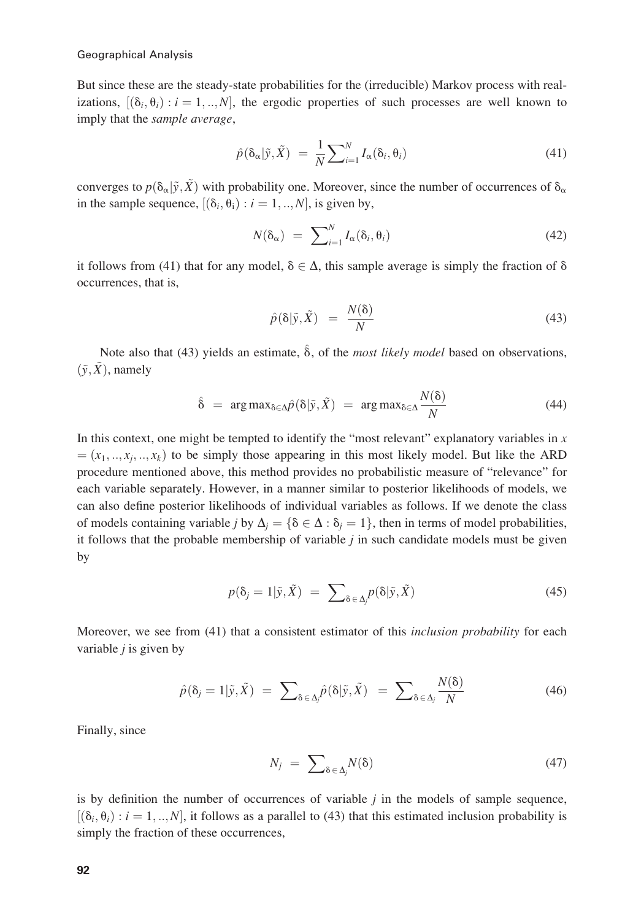#### Geographical Analysis

But since these are the steady-state probabilities for the (irreducible) Markov process with realizations,  $[(\delta_i, \theta_i) : i = 1, ..., N]$ , the ergodic properties of such processes are well known to imply that the *sample average*,

$$
\hat{p}(\delta_{\alpha}|\tilde{y},\tilde{X}) = \frac{1}{N} \sum_{i=1}^{N} I_{\alpha}(\delta_i, \theta_i)
$$
\n(41)

converges to  $p(\delta_{\alpha}|\tilde{y},\tilde{X})$  with probability one. Moreover, since the number of occurrences of  $\delta_{\alpha}$ in the sample sequence,  $[(\delta_i, \theta_i) : i = 1, ..., N]$ , is given by,

$$
N(\delta_{\alpha}) = \sum_{i=1}^{N} I_{\alpha}(\delta_i, \theta_i)
$$
\n(42)

it follows from (41) that for any model,  $\delta \in \Delta$ , this sample average is simply the fraction of  $\delta$ occurrences, that is,

$$
\hat{p}(\delta|\tilde{y},\tilde{X}) = \frac{N(\delta)}{N} \tag{43}
$$

Note also that (43) yields an estimate,  $\hat{\delta}$ , of the *most likely model* based on observations,  $(\tilde{y}, \tilde{X})$ , namely

$$
\hat{\delta} = \arg \max_{\delta \in \Delta} \hat{p}(\delta | \tilde{y}, \tilde{X}) = \arg \max_{\delta \in \Delta} \frac{N(\delta)}{N}
$$
(44)

In this context, one might be tempted to identify the "most relevant" explanatory variables in  $x$  $(x_1, \ldots, x_i, \ldots, x_k)$  to be simply those appearing in this most likely model. But like the ARD procedure mentioned above, this method provides no probabilistic measure of "relevance" for each variable separately. However, in a manner similar to posterior likelihoods of models, we can also define posterior likelihoods of individual variables as follows. If we denote the class of models containing variable j by  $\Delta_i = {\delta \in \Delta : \delta_i = 1}$ , then in terms of model probabilities, it follows that the probable membership of variable  $i$  in such candidate models must be given by

$$
p(\delta_j = 1 | \tilde{y}, \tilde{X}) = \sum_{\delta \in \Delta_j} p(\delta | \tilde{y}, \tilde{X})
$$
\n(45)

Moreover, we see from (41) that a consistent estimator of this *inclusion probability* for each variable  $j$  is given by

$$
\hat{p}(\delta_j = 1 | \tilde{y}, \tilde{X}) = \sum_{\delta \in \Delta_j} \hat{p}(\delta | \tilde{y}, \tilde{X}) = \sum_{\delta \in \Delta_j} \frac{N(\delta)}{N}
$$
(46)

Finally, since

$$
N_j = \sum_{\delta \in \Delta_j} N(\delta) \tag{47}
$$

is by definition the number of occurrences of variable  $j$  in the models of sample sequence,  $[(\delta_i, \theta_i) : i = 1, ..., N]$ , it follows as a parallel to (43) that this estimated inclusion probability is simply the fraction of these occurrences,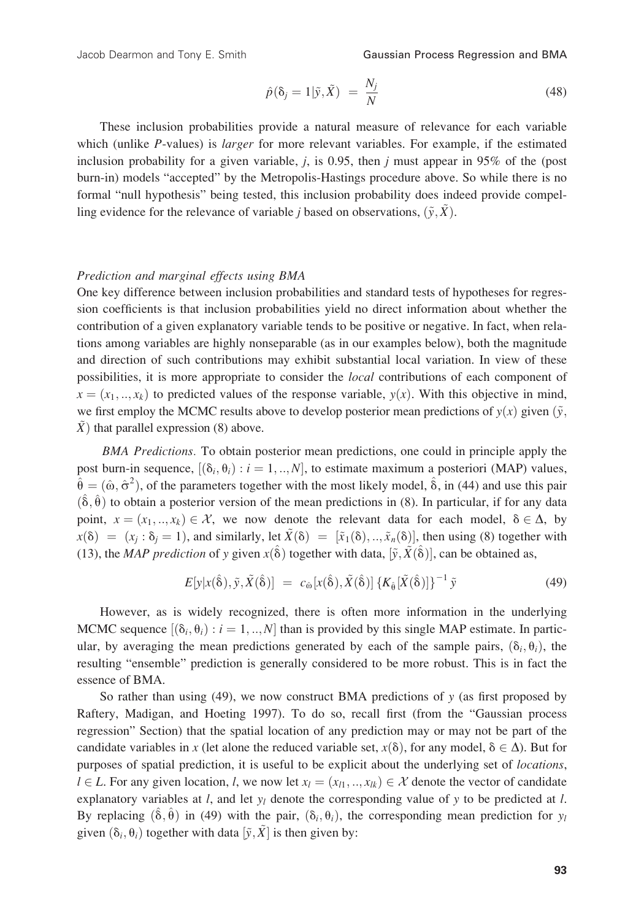$$
\hat{p}(\delta_j = 1 | \tilde{y}, \tilde{X}) = \frac{N_j}{N}
$$
\n(48)

These inclusion probabilities provide a natural measure of relevance for each variable which (unlike P-values) is *larger* for more relevant variables. For example, if the estimated inclusion probability for a given variable,  $j$ , is 0.95, then  $j$  must appear in 95% of the (post burn-in) models "accepted" by the Metropolis-Hastings procedure above. So while there is no formal "null hypothesis" being tested, this inclusion probability does indeed provide compelling evidence for the relevance of variable *j* based on observations,  $(\tilde{y}, X)$ .

#### Prediction and marginal effects using BMA

One key difference between inclusion probabilities and standard tests of hypotheses for regression coefficients is that inclusion probabilities yield no direct information about whether the contribution of a given explanatory variable tends to be positive or negative. In fact, when relations among variables are highly nonseparable (as in our examples below), both the magnitude and direction of such contributions may exhibit substantial local variation. In view of these possibilities, it is more appropriate to consider the *local* contributions of each component of  $x = (x_1, \ldots, x_k)$  to predicted values of the response variable,  $y(x)$ . With this objective in mind, we first employ the MCMC results above to develop posterior mean predictions of  $y(x)$  given  $(\tilde{y}, \tilde{y})$  $\hat{X}$ ) that parallel expression (8) above.

BMA Predictions. To obtain posterior mean predictions, one could in principle apply the post burn-in sequence,  $[(\delta_i, \theta_i): i = 1, ..., N]$ , to estimate maximum a posteriori (MAP) values,  $\hat{\theta} = (\hat{\omega}, \hat{\sigma}^2)$ , of the parameters together with the most likely model,  $\hat{\delta}$ , in (44) and use this pair  $(\hat{\delta}, \hat{\theta})$  to obtain a posterior version of the mean predictions in (8). In particular, if for any data point,  $x = (x_1, ..., x_k) \in \mathcal{X}$ , we now denote the relevant data for each model,  $\delta \in \Delta$ , by  $x(\delta) = (x_i : \delta_i = 1)$ , and similarly, let  $\tilde{X}(\delta) = [\tilde{x}_1(\delta), ..., \tilde{x}_n(\delta)]$ , then using (8) together with (13), the MAP prediction of y given  $x(\hat{\delta})$  together with data,  $[\tilde{y}, \tilde{X}(\hat{\delta})]$ , can be obtained as,

$$
E[y|x(\hat{\delta}), \tilde{y}, \tilde{X}(\hat{\delta})] = c_{\hat{\omega}}[x(\hat{\delta}), \tilde{X}(\hat{\delta})] \{K_{\hat{\theta}}[\tilde{X}(\hat{\delta})]\}^{-1} \tilde{y}
$$
(49)

However, as is widely recognized, there is often more information in the underlying MCMC sequence  $[(\delta_i, \theta_i): i = 1, ..., N]$  than is provided by this single MAP estimate. In particular, by averaging the mean predictions generated by each of the sample pairs,  $(\delta_i, \theta_i)$ , the resulting "ensemble" prediction is generally considered to be more robust. This is in fact the essence of BMA.

So rather than using  $(49)$ , we now construct BMA predictions of y (as first proposed by Raftery, Madigan, and Hoeting 1997). To do so, recall first (from the "Gaussian process regression" Section) that the spatial location of any prediction may or may not be part of the candidate variables in x (let alone the reduced variable set,  $x(\delta)$ , for any model,  $\delta \in \Delta$ ). But for purposes of spatial prediction, it is useful to be explicit about the underlying set of locations,  $l \in L$ . For any given location, l, we now let  $x_l = (x_{l1}, ..., x_{lk}) \in \mathcal{X}$  denote the vector of candidate explanatory variables at *l*, and let  $y_l$  denote the corresponding value of y to be predicted at *l*. By replacing  $(\delta, \theta)$  in (49) with the pair,  $(\delta_i, \theta_i)$ , the corresponding mean prediction for  $y_i$ given  $(\delta_i, \theta_i)$  together with data  $[\tilde{y}, \tilde{X}]$  is then given by: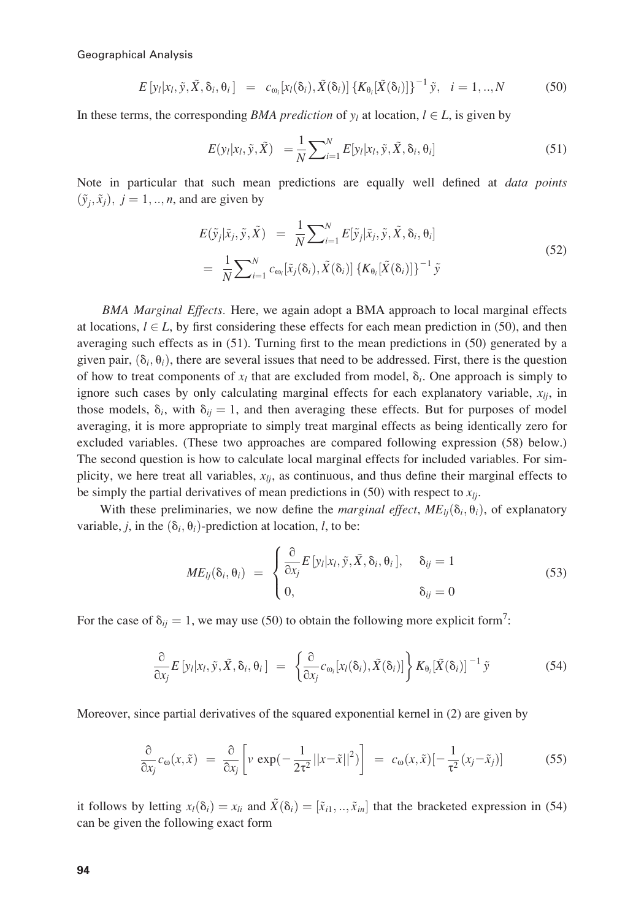$$
E[y_l|x_l, \tilde{y}, \tilde{X}, \delta_i, \theta_i] = c_{\omega_i}[x_l(\delta_i), \tilde{X}(\delta_i)] \{K_{\theta_i}[\tilde{X}(\delta_i)]\}^{-1} \tilde{y}, \quad i = 1,..,N
$$
 (50)

In these terms, the corresponding BMA prediction of  $y_l$  at location,  $l \in L$ , is given by

$$
E(y_l|x_l, \tilde{y}, \tilde{X}) = \frac{1}{N} \sum_{i=1}^{N} E[y_l|x_l, \tilde{y}, \tilde{X}, \delta_i, \theta_i]
$$
(51)

Note in particular that such mean predictions are equally well defined at *data points*  $(\tilde{y}_j, \tilde{x}_j)$ ,  $j = 1, ..., n$ , and are given by

$$
E(\tilde{y}_j|\tilde{x}_j, \tilde{y}, \tilde{X}) = \frac{1}{N} \sum_{i=1}^N E[\tilde{y}_j|\tilde{x}_j, \tilde{y}, \tilde{X}, \delta_i, \theta_i]
$$
  

$$
= \frac{1}{N} \sum_{i=1}^N c_{\omega_i}[\tilde{x}_j(\delta_i), \tilde{X}(\delta_i)] \{K_{\theta_i}[\tilde{X}(\delta_i)]\}^{-1} \tilde{y}
$$
(52)

BMA Marginal Effects. Here, we again adopt a BMA approach to local marginal effects at locations,  $l \in L$ , by first considering these effects for each mean prediction in (50), and then averaging such effects as in (51). Turning first to the mean predictions in (50) generated by a given pair,  $(\delta_i, \theta_i)$ , there are several issues that need to be addressed. First, there is the question of how to treat components of  $x_l$  that are excluded from model,  $\delta_i$ . One approach is simply to ignore such cases by only calculating marginal effects for each explanatory variable,  $x_{li}$ , in those models,  $\delta_i$ , with  $\delta_{ij} = 1$ , and then averaging these effects. But for purposes of model averaging, it is more appropriate to simply treat marginal effects as being identically zero for excluded variables. (These two approaches are compared following expression (58) below.) The second question is how to calculate local marginal effects for included variables. For simplicity, we here treat all variables,  $x_{ij}$ , as continuous, and thus define their marginal effects to be simply the partial derivatives of mean predictions in (50) with respect to  $x_{li}$ .

With these preliminaries, we now define the *marginal effect*,  $ME_{li}(\delta_i, \theta_i)$ , of explanatory variable, j, in the  $(\delta_i, \theta_i)$ -prediction at location, l, to be:

$$
ME_{ij}(\delta_i, \theta_i) = \begin{cases} \frac{\partial}{\partial x_j} E[y_l | x_l, \tilde{y}, \tilde{X}, \delta_i, \theta_i], & \delta_{ij} = 1\\ 0, & \delta_{ij} = 0 \end{cases}
$$
(53)

For the case of  $\delta_{ij} = 1$ , we may use (50) to obtain the following more explicit form<sup>7</sup>:

$$
\frac{\partial}{\partial x_j} E\left[y_l|x_l, \tilde{y}, \tilde{X}, \delta_i, \theta_i\right] = \left\{ \frac{\partial}{\partial x_j} c_{\omega_i} [x_l(\delta_i), \tilde{X}(\delta_i)] \right\} K_{\theta_i} [\tilde{X}(\delta_i)]^{-1} \tilde{y}
$$
(54)

Moreover, since partial derivatives of the squared exponential kernel in (2) are given by

$$
\frac{\partial}{\partial x_j} c_\omega(x,\tilde{x}) = \frac{\partial}{\partial x_j} \left[ v \exp(-\frac{1}{2\tau^2} ||x - \tilde{x}||^2) \right] = c_\omega(x,\tilde{x}) \left[ -\frac{1}{\tau^2} (x_j - \tilde{x}_j) \right]
$$
(55)

it follows by letting  $x_l(\delta_i) = x_{li}$  and  $\tilde{X}(\delta_i) = [\tilde{x}_{i1}, \dots, \tilde{x}_{in}]$  that the bracketed expression in (54) can be given the following exact form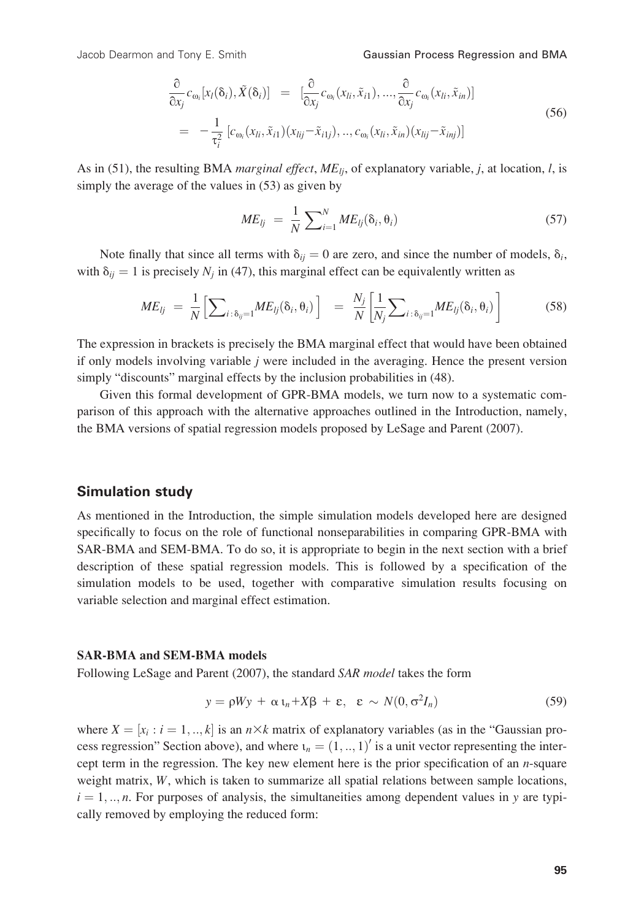$$
\frac{\partial}{\partial x_j} c_{\omega_i} [x_l(\delta_i), \tilde{X}(\delta_i)] = [\frac{\partial}{\partial x_j} c_{\omega_i} (x_{li}, \tilde{x}_{i1}), ..., \frac{\partial}{\partial x_j} c_{\omega_i} (x_{li}, \tilde{x}_{in})]
$$
\n
$$
= -\frac{1}{\tau_i^2} [c_{\omega_i} (x_{li}, \tilde{x}_{i1}) (x_{lij} - \tilde{x}_{i1j}), ..., c_{\omega_i} (x_{li}, \tilde{x}_{in}) (x_{lij} - \tilde{x}_{inj})]
$$
\n(56)

As in (51), the resulting BMA *marginal effect*,  $ME_{ij}$ , of explanatory variable, j, at location, l, is simply the average of the values in (53) as given by

$$
ME_{ij} = \frac{1}{N} \sum_{i=1}^{N} ME_{ij}(\delta_i, \theta_i)
$$
\n(57)

Note finally that since all terms with  $\delta_{ij} = 0$  are zero, and since the number of models,  $\delta_i$ , with  $\delta_{ij} = 1$  is precisely  $N_j$  in (47), this marginal effect can be equivalently written as

$$
ME_{lj} = \frac{1}{N} \Big[ \sum_{i : \delta_{ij} = 1} ME_{lj}(\delta_i, \theta_i) \Big] = \frac{N_j}{N} \Big[ \frac{1}{N_j} \sum_{i : \delta_{ij} = 1} ME_{lj}(\delta_i, \theta_i) \Big]
$$
(58)

The expression in brackets is precisely the BMA marginal effect that would have been obtained if only models involving variable j were included in the averaging. Hence the present version simply "discounts" marginal effects by the inclusion probabilities in (48).

Given this formal development of GPR-BMA models, we turn now to a systematic comparison of this approach with the alternative approaches outlined in the Introduction, namely, the BMA versions of spatial regression models proposed by LeSage and Parent (2007).

#### Simulation study

As mentioned in the Introduction, the simple simulation models developed here are designed specifically to focus on the role of functional nonseparabilities in comparing GPR-BMA with SAR-BMA and SEM-BMA. To do so, it is appropriate to begin in the next section with a brief description of these spatial regression models. This is followed by a specification of the simulation models to be used, together with comparative simulation results focusing on variable selection and marginal effect estimation.

#### SAR-BMA and SEM-BMA models

Following LeSage and Parent (2007), the standard SAR model takes the form

$$
y = \rho Wy + \alpha \iota_n + X\beta + \varepsilon, \quad \varepsilon \sim N(0, \sigma^2 I_n)
$$
 (59)

where  $X = [x_i : i = 1, ..., k]$  is an  $n \times k$  matrix of explanatory variables (as in the "Gaussian process regression" Section above), and where  $u_n = (1, ..., 1)$  is a unit vector representing the intercept term in the regression. The key new element here is the prior specification of an  $n$ -square weight matrix, W, which is taken to summarize all spatial relations between sample locations,  $i = 1, \ldots, n$ . For purposes of analysis, the simultaneities among dependent values in y are typically removed by employing the reduced form: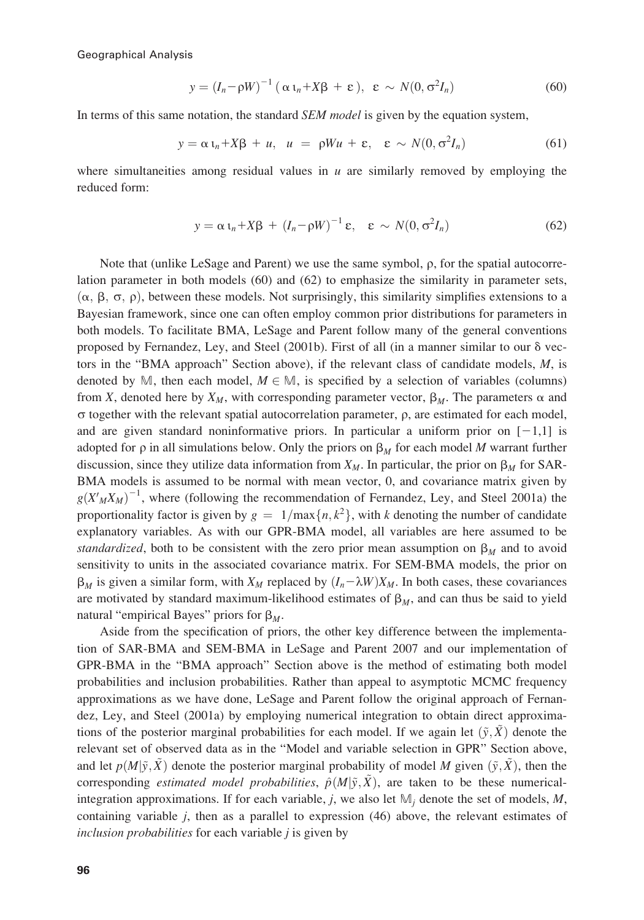$$
y = (I_n - \rho W)^{-1} (\alpha \mathbf{1}_n + X\beta + \varepsilon), \ \varepsilon \sim N(0, \sigma^2 I_n)
$$
 (60)

In terms of this same notation, the standard *SEM model* is given by the equation system,

$$
y = \alpha \iota_n + X\beta + u, \quad u = \rho Wu + \varepsilon, \quad \varepsilon \sim N(0, \sigma^2 I_n)
$$
 (61)

where simultaneities among residual values in  $u$  are similarly removed by employing the reduced form:

$$
y = \alpha \, \iota_n + X\beta + (I_n - \rho W)^{-1} \, \varepsilon, \quad \varepsilon \sim N(0, \sigma^2 I_n) \tag{62}
$$

Note that (unlike LeSage and Parent) we use the same symbol,  $\rho$ , for the spatial autocorrelation parameter in both models (60) and (62) to emphasize the similarity in parameter sets,  $(\alpha, \beta, \sigma, \rho)$ , between these models. Not surprisingly, this similarity simplifies extensions to a Bayesian framework, since one can often employ common prior distributions for parameters in both models. To facilitate BMA, LeSage and Parent follow many of the general conventions proposed by Fernandez, Ley, and Steel (2001b). First of all (in a manner similar to our  $\delta$  vectors in the "BMA approach" Section above), if the relevant class of candidate models, M, is denoted by M, then each model,  $M \in \mathbb{M}$ , is specified by a selection of variables (columns) from X, denoted here by  $X_M$ , with corresponding parameter vector,  $\beta_M$ . The parameters  $\alpha$  and  $\sigma$  together with the relevant spatial autocorrelation parameter,  $\rho$ , are estimated for each model, and are given standard noninformative priors. In particular a uniform prior on  $[-1,1]$  is adopted for  $\rho$  in all simulations below. Only the priors on  $\beta_M$  for each model M warrant further discussion, since they utilize data information from  $X_M$ . In particular, the prior on  $\beta_M$  for SAR-BMA models is assumed to be normal with mean vector, 0, and covariance matrix given by  $g(X'MX_M)^{-1}$ , where (following the recommendation of Fernandez, Ley, and Steel 2001a) the proportionality factor is given by  $g = 1/\max\{n, k^2\}$ , with k denoting the number of candidate explanatory variables. As with our GPR-BMA model, all variables are here assumed to be standardized, both to be consistent with the zero prior mean assumption on  $\beta_M$  and to avoid sensitivity to units in the associated covariance matrix. For SEM-BMA models, the prior on  $\beta_M$  is given a similar form, with  $X_M$  replaced by  $(I_n - \lambda W)X_M$ . In both cases, these covariances are motivated by standard maximum-likelihood estimates of  $\beta_M$ , and can thus be said to yield natural "empirical Bayes" priors for  $\beta_M$ .

Aside from the specification of priors, the other key difference between the implementation of SAR-BMA and SEM-BMA in LeSage and Parent 2007 and our implementation of GPR-BMA in the "BMA approach" Section above is the method of estimating both model probabilities and inclusion probabilities. Rather than appeal to asymptotic MCMC frequency approximations as we have done, LeSage and Parent follow the original approach of Fernandez, Ley, and Steel (2001a) by employing numerical integration to obtain direct approximations of the posterior marginal probabilities for each model. If we again let  $(\tilde{y}, X)$  denote the relevant set of observed data as in the "Model and variable selection in GPR" Section above, and let  $p(M|\tilde{y}, \tilde{X})$  denote the posterior marginal probability of model M given  $(\tilde{y}, \tilde{X})$ , then the corresponding *estimated model probabilities*,  $\hat{p}(M|\tilde{y}, \tilde{X})$ , are taken to be these numericalintegration approximations. If for each variable, j, we also let  $\mathbb{M}_i$  denote the set of models, M, containing variable j, then as a parallel to expression (46) above, the relevant estimates of inclusion probabilities for each variable  $j$  is given by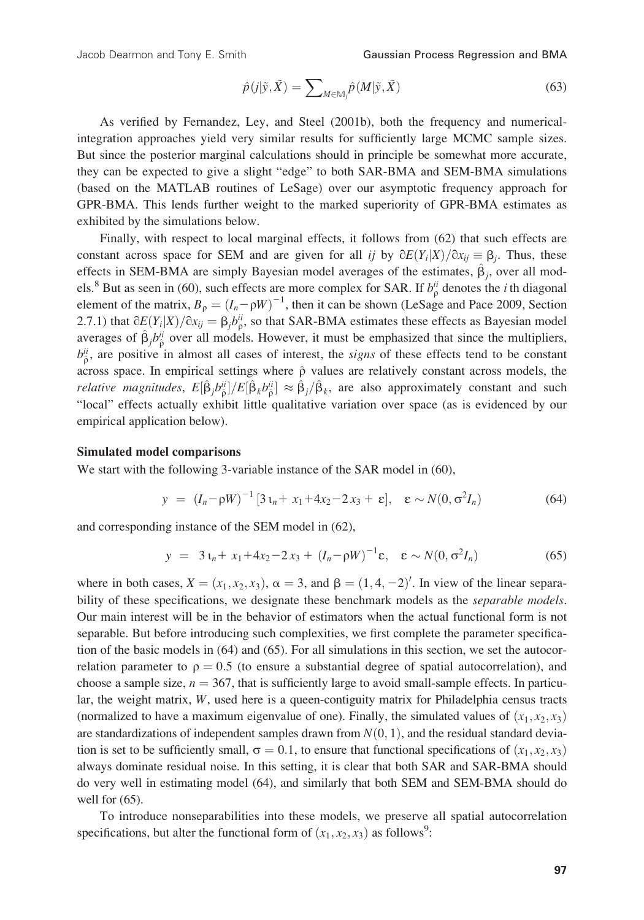$$
\hat{p}(j|\tilde{y},\tilde{X}) = \sum_{M \in \mathbb{M}_j} \hat{p}(M|\tilde{y},\tilde{X})
$$
\n(63)

As verified by Fernandez, Ley, and Steel (2001b), both the frequency and numericalintegration approaches yield very similar results for sufficiently large MCMC sample sizes. But since the posterior marginal calculations should in principle be somewhat more accurate, they can be expected to give a slight "edge" to both SAR-BMA and SEM-BMA simulations (based on the MATLAB routines of LeSage) over our asymptotic frequency approach for GPR-BMA. This lends further weight to the marked superiority of GPR-BMA estimates as exhibited by the simulations below.

Finally, with respect to local marginal effects, it follows from (62) that such effects are constant across space for SEM and are given for all ij by  $\partial E(Y_i|X)/\partial x_{ii} \equiv \beta_i$ . Thus, these effects in SEM-BMA are simply Bayesian model averages of the estimates,  $\hat{\beta}_i$ , over all models.<sup>8</sup> But as seen in (60), such effects are more complex for SAR. If  $b_{\rho}^{ii}$  denotes the *i* th diagonal element of the matrix,  $B_{\rho} = (I_n - \rho W)^{-1}$ , then it can be shown (LeSage and Pace 2009, Section 2.7.1) that  $\partial E(Y_i|X)/\partial x_{ij} = \beta_j b_{\rho}^{ii}$ , so that SAR-BMA estimates these effects as Bayesian model averages of  $\hat{\beta}_j b^{\mu}_{\hat{\rho}}$  over all models. However, it must be emphasized that since the multipliers,  $b_{\hat{\rho}}^{ii}$ , are positive in almost all cases of interest, the signs of these effects tend to be constant across space. In empirical settings where  $\hat{\rho}$  values are relatively constant across models, the *relative magnitudes,*  $E[\hat{\beta}_j b^{\ddot{u}}_{\hat{p}}]/E[\hat{\beta}_k b^{\ddot{u}}_{\hat{p}}] \approx \hat{\beta}_j/\hat{\beta}_k$ , are also approximately constant and such "local" effects actually exhibit little qualitative variation over space (as is evidenced by our empirical application below).

#### Simulated model comparisons

We start with the following 3-variable instance of the SAR model in (60),

$$
y = (I_n - \rho W)^{-1} [3 t_n + x_1 + 4x_2 - 2x_3 + \varepsilon], \quad \varepsilon \sim N(0, \sigma^2 I_n)
$$
 (64)

and corresponding instance of the SEM model in (62),

$$
y = 3 t_n + x_1 + 4x_2 - 2x_3 + (I_n - \rho W)^{-1} \varepsilon, \quad \varepsilon \sim N(0, \sigma^2 I_n)
$$
 (65)

where in both cases,  $X = (x_1, x_2, x_3)$ ,  $\alpha = 3$ , and  $\beta = (1, 4, -2)'$ . In view of the linear separability of these specifications, we designate these benchmark models as the *separable models*. Our main interest will be in the behavior of estimators when the actual functional form is not separable. But before introducing such complexities, we first complete the parameter specification of the basic models in (64) and (65). For all simulations in this section, we set the autocorrelation parameter to  $p = 0.5$  (to ensure a substantial degree of spatial autocorrelation), and choose a sample size,  $n = 367$ , that is sufficiently large to avoid small-sample effects. In particular, the weight matrix, W, used here is a queen-contiguity matrix for Philadelphia census tracts (normalized to have a maximum eigenvalue of one). Finally, the simulated values of  $(x_1, x_2, x_3)$ are standardizations of independent samples drawn from  $N(0, 1)$ , and the residual standard deviation is set to be sufficiently small,  $\sigma = 0.1$ , to ensure that functional specifications of  $(x_1, x_2, x_3)$ always dominate residual noise. In this setting, it is clear that both SAR and SAR-BMA should do very well in estimating model (64), and similarly that both SEM and SEM-BMA should do well for (65).

To introduce nonseparabilities into these models, we preserve all spatial autocorrelation specifications, but alter the functional form of  $(x_1, x_2, x_3)$  as follows<sup>9</sup>: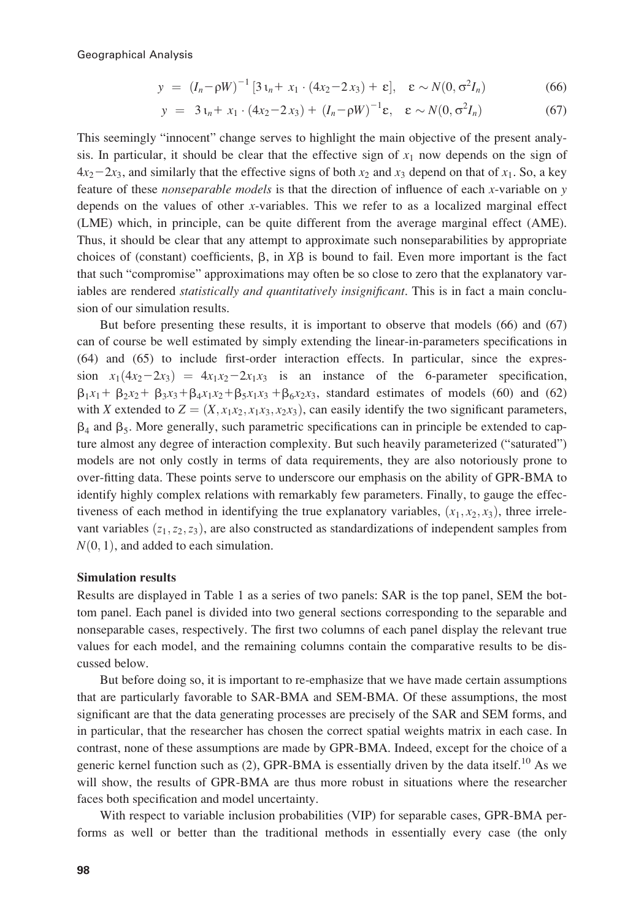Geographical Analysis

$$
y = (I_n - \rho W)^{-1} [3 t_n + x_1 \cdot (4x_2 - 2x_3) + \varepsilon], \quad \varepsilon \sim N(0, \sigma^2 I_n)
$$
 (66)

$$
y = 3 tn + x1 \cdot (4x2 - 2x3) + (In - \rho W)^{-1} \varepsilon, \quad \varepsilon \sim N(0, \sigma^2 I_n)
$$
 (67)

This seemingly "innocent" change serves to highlight the main objective of the present analysis. In particular, it should be clear that the effective sign of  $x_1$  now depends on the sign of  $4x_2-2x_3$ , and similarly that the effective signs of both  $x_2$  and  $x_3$  depend on that of  $x_1$ . So, a key feature of these *nonseparable models* is that the direction of influence of each x-variable on y depends on the values of other x-variables. This we refer to as a localized marginal effect (LME) which, in principle, can be quite different from the average marginal effect (AME). Thus, it should be clear that any attempt to approximate such nonseparabilities by appropriate choices of (constant) coefficients,  $\beta$ , in  $X\beta$  is bound to fail. Even more important is the fact that such "compromise" approximations may often be so close to zero that the explanatory variables are rendered *statistically and quantitatively insignificant*. This is in fact a main conclusion of our simulation results.

But before presenting these results, it is important to observe that models (66) and (67) can of course be well estimated by simply extending the linear-in-parameters specifications in (64) and (65) to include first-order interaction effects. In particular, since the expression  $x_1(4x_2-2x_3) = 4x_1x_2-2x_1x_3$  is an instance of the 6-parameter specification,  $\beta_1x_1 + \beta_2x_2 + \beta_3x_3 + \beta_4x_1x_2 + \beta_5x_1x_3 + \beta_6x_2x_3$ , standard estimates of models (60) and (62) with X extended to  $Z = (X, x_1x_2, x_1x_3, x_2x_3)$ , can easily identify the two significant parameters,  $\beta_4$  and  $\beta_5$ . More generally, such parametric specifications can in principle be extended to capture almost any degree of interaction complexity. But such heavily parameterized ("saturated") models are not only costly in terms of data requirements, they are also notoriously prone to over-fitting data. These points serve to underscore our emphasis on the ability of GPR-BMA to identify highly complex relations with remarkably few parameters. Finally, to gauge the effectiveness of each method in identifying the true explanatory variables,  $(x_1, x_2, x_3)$ , three irrelevant variables  $(z_1, z_2, z_3)$ , are also constructed as standardizations of independent samples from  $N(0, 1)$ , and added to each simulation.

#### Simulation results

Results are displayed in Table 1 as a series of two panels: SAR is the top panel, SEM the bottom panel. Each panel is divided into two general sections corresponding to the separable and nonseparable cases, respectively. The first two columns of each panel display the relevant true values for each model, and the remaining columns contain the comparative results to be discussed below.

But before doing so, it is important to re-emphasize that we have made certain assumptions that are particularly favorable to SAR-BMA and SEM-BMA. Of these assumptions, the most significant are that the data generating processes are precisely of the SAR and SEM forms, and in particular, that the researcher has chosen the correct spatial weights matrix in each case. In contrast, none of these assumptions are made by GPR-BMA. Indeed, except for the choice of a generic kernel function such as (2), GPR-BMA is essentially driven by the data itself.<sup>10</sup> As we will show, the results of GPR-BMA are thus more robust in situations where the researcher faces both specification and model uncertainty.

With respect to variable inclusion probabilities (VIP) for separable cases, GPR-BMA performs as well or better than the traditional methods in essentially every case (the only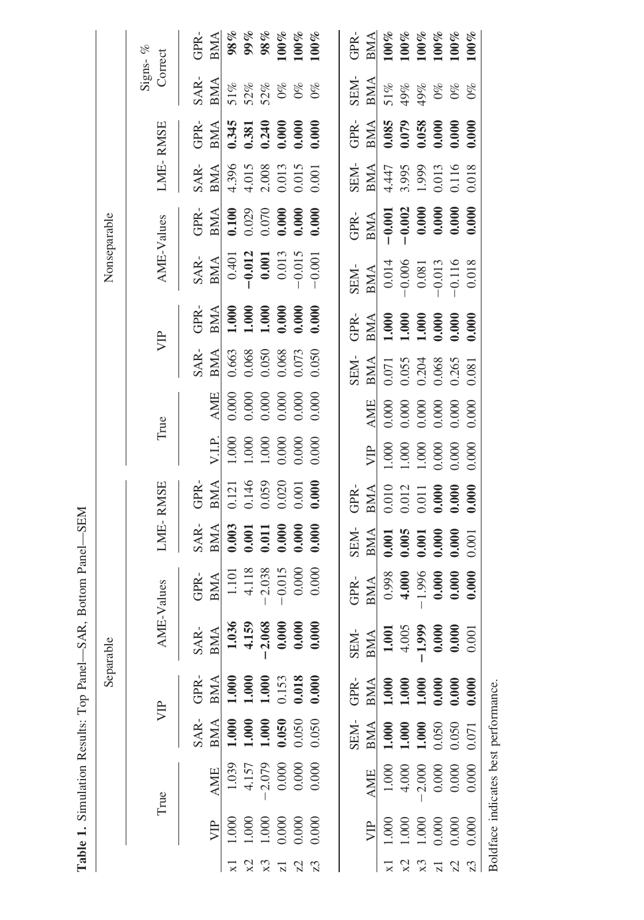Table 1. Simulation Results: Top Panel-SAR, Bottom Panel-SEM Table 1. Simulation Results: Top Panel—SAR, Bottom Panel—SEM

 $100%$  $98%$ 99%  $98%$  $100%$  $100%$  $100%$  $100%$  $100\%$  $100%$  $100%$  $100%$ GPR-BMA GPR- BMA SAR- BMA GPR- BMA SAR- BMA GPR- BMA V.I.P. AME SAR- BMA GPR- BMA SAR- BMA GPR- BMA SAR- BMA GPR- BMA SAR- BMA GPR- BMA **BMA** x1 1.000 1.039 1.000 1.000 1.036 1.101 0.003 0.121 1.000 0.000 0.663 1.000 0.401 0.100 4.396 0.345 51% 98% x2 1.000 4.157 1.000 1.000 4.159 4.118 0.001 0.146 1.000 0.000 0.068 1.000 20.012 0.029 4.015 0.381 52% 99% x3 1.000 22.079 22.079 22.079 1.000 22.000 22.000 22.000 0.000 0.000 0.000 0.000 0.000 1.000 0.000 0.000 2.000 0.000 0.000 0.000 0.000 0.000 0.000 0.000 0.000 0.000 0.000 0.000 0.000 0.000 0.000 0.000 0.000 0.000 0.000 0.0 2001 200 0.0000 0.0000 0.1010 0.0000 0.000 0.000 0.000 0.0000 0.0000 0.0000 0.0000 0.0000 0.0000 0.0000 0.0000 0<br>Value 200 0.0000 0.0000 0.0100 0.0000 0.000 0.000 0.0000 0.0000 0.0000 0.0000 0.0000 0.0000 0.0000 0.0000 0.0 200 2.000 0.0000 0.0000 0.0000 0.0000 0.000 0.0000 0.0000 0.0000 0.0000 0.0000 0.0000 0.0000 0.0000 0.0000 0.0<br>22 0.000 0.0000 0.0000 0.0000 0.0000 0.0000 0.0000 0.0000 0.0000 0.0000 0.0000 0.0000 0.0000 0.0000 0.0000 0.0 x30 32 0.0000 0.0000 0.0000 0.0000 0.000 0.000 0.0000 0.0000 0.0000 0.0000 0.0000 0.0000 0.0000 0.0000 0.0000 0<br>Waxaa xaa dadaa xaala dadaa xaala dadaa xaala ah ah ah ah ah dadaa 0.000 0.000 0.000 0.000 0.000 0.000 0.000 0 GPR-SEM- GPR- SEM- GPR- SEM- GPR-<br>BMA BMA BMA BMA BMA BMA VIP AME BMA BMA BMA BMA BMA BMA BMA BMA BMA BMA %2001 2.000 1.000 1.000 1.000 1.000 0.000 0.000 0.000 0.000 0.000 0.000 0.000 0.000 0.000 0.0001 0.001 0.001 0<br>V 444 1000 1.000 1.000 1.000 1000 0.000 0.000 0.000 0.000 0.000 0.000 0.000 0.000 1000 1000 1000 1000 1000 100 xx 1000 1.000 1.000 1.000 1.000 1.000 1.000 1.000 0.000 0.000 0.000 0.000 0.000 0.000 20.000 3.000 1 0.000 1.000 1.000 1.000 1.000 1.000 1.000 1.000 1.000 1.000 1.000 1.000 1.000 1.000 1.000 1.000 1.000 1.000 1.000 1.000 1 %301 %%4 %9010 666.1 00010 1.8010 00011 40210 0.0010 0.001 1.1010 10010 9.66.1- 666.1- 0.0011 0.0011 0.0011 0.001 z1 0.000 0.000 0.050 0.000 0.000 0.000 0.000 0.000 0.000 0.000 0.068 0.000 20.013 0.000 0.013 0.000 0% 100% 2000 0.000 0.000 0.000 0.000 0.000 0.000 0.000 0.000 0.000 0.000 0.0000 0.0000 0.0000 0.0000 0.0000 0.0000 0.000 z3 0.000 0.000 0.071 0.000 0.001 0.000 0.001 0.000 0.000 0.000 0.081 0.000 0.018 0.000 0.018 0.000 0% 100% Signs- % **Correct** SAR-**BMA** SEM-**BMA**  $51\%$ 52% 52%  $0\%$  $0\%$  $0\%$  $51\%$ 49% 49%  $0\%$  $0\%$  $0\%$ **BMA** 0.345 BMA 0.085 0.079 0.058 0.000 000.0 0.240 0.000 0.000  $0.000$  $0.000$ LME-RMSE True VIP AME-Values LME- RMSE True VIP AME-Values LME- RMSE GPR-0.381 GPR-4.015 2.008 0.015 3.995 1.999 0.013 0.116 0.018 SAR-**BMA** 4.396 0.013 **BMA**  $0.001$ SEM-4.447 0.070  $-0.002$  $0.000$  $0.000$  $0.000$  $0.000$ **BMA**  $0.029$  $0.000$  $-0.001$ 0.100  $0.000$  $0.000$ GPR-**BMA** Nonseparable Separable Nonseparable **AME-Values** GPR- $-0.015$  $-0.012$  $0.001$ 0.013  $-0.001$  $0.401$ **BMA** SAR- $-0.013$  $-0.116$ 0.018 0.014  $-0.006$  $0.081$ **BMA** SEM-**BMA**  $000$  $000.1$ 1.000  $0.000$  $0.000$  $0.000$ GPR.  $0.000$ **BMA** 1.000 1.000 1.000  $0.000$  $0.000$ GPR-УP SAR-**BMA** 0.068 0.068 0.073  $0.050$ 0.663  $0.050$ SEM-**BMA** 0.055 0.204 0.068 0.265 0.071 0.081 **AME** 0.000 0.000 0.000 0.000  $0.000$ 0.000 **AME**  $0.000$  $0.000$  $0.000$ 0.000 0.000 0.000 True V.I.P.  $000.1$  $000.1$ 1.000  $0.000$  $0.000$ 0.000 1.000 1.000 0.000 0.000 0.000 УIР  $000.1$ 0.146  $0.059$ LME-RMSE 0.020  $0.000$ **BMA** 0.121 0.001 0.012 GPR-**BMA** 0.010 0.011 0.000 0.000  $0.0001$ GPR- $0.003$  $0.000$  $0.000$ **BMA**  $0.001$ 0.011  $0.000$ SAR-**BMA**  $0.005$  $0.000$  $0.000$ SEM-0.001 0.001 0.001 4.118  $-2.038$  $-0.015$ 0.000 0.000 1.101  $-1.996$  $0.000$  $0.000$ 0.998 4.000 **BMA**  $0.000$ GPR-**BMA AME-Values** GPR-4.159  $-2.068$  $0.000$  $0.000$ 1.036  $0.000$  $-1.999$ 4.005  $0.000$  $0.000$ **BMA**  $0.001$ SAR-1.001 **BMA** SEM-Separable **BMA** 1.000 1.000 0.153 0.018 1.000  $0.000$ GPR-**BMA**  $1.000$ 1.000  $1.000$  $0.000$  $0.000$  $0.000$ GPR-УP 0.050 0.050 SAR-**BMA** 000  $000.1$ 000  $0.050$ SEM-**BMA** 0.050  $0.050$  $1.000$  $1.000$  $1.000$ 0.071 1.039 4.157  $-2.079$  $0.000$ 0.000 0.000 0.000 0.000 0.000 4.000 2.000 1.000 **AME AME** VIP AME VIP AME True 1.000 1.000 0.000 0.000 0.000 1.000 1.000 0.000 0.000  $0.000$ 1.000 VIP 1.000 VIP  $\rm Z$  $Z<sub>3</sub>$  $x<sub>3</sub>$  $\overline{z}$  $\mathbb{Z}^2$  $\mathcal{Z}$  $x<sub>3</sub>$  $\overline{z}$  $\overline{x}$  $x^2$  $\overline{z}$  $\overline{\mathbf{x}}$ 

Boldface indicates best performance. Boldface indicates best performance.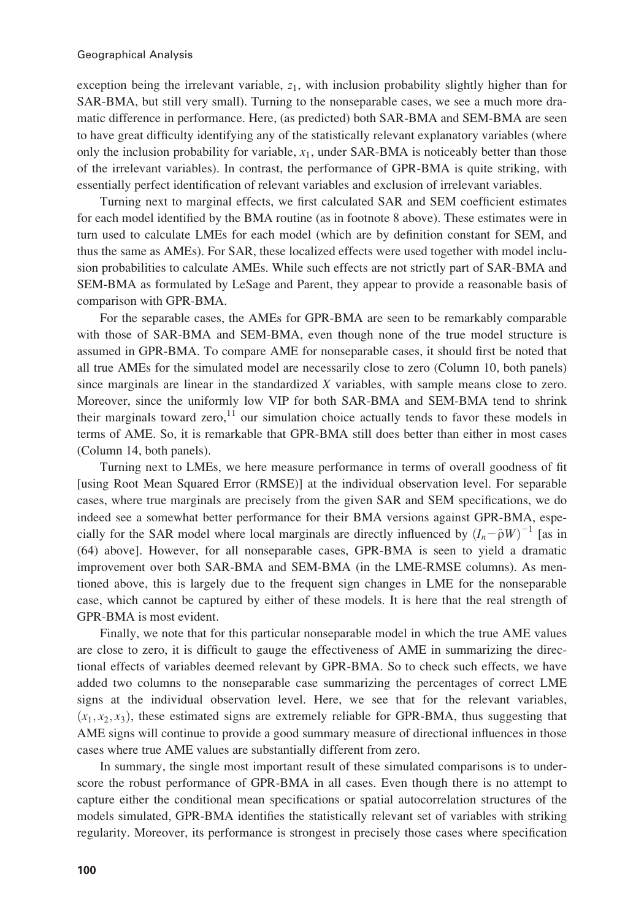exception being the irrelevant variable,  $z<sub>1</sub>$ , with inclusion probability slightly higher than for SAR-BMA, but still very small). Turning to the nonseparable cases, we see a much more dramatic difference in performance. Here, (as predicted) both SAR-BMA and SEM-BMA are seen to have great difficulty identifying any of the statistically relevant explanatory variables (where only the inclusion probability for variable,  $x_1$ , under SAR-BMA is noticeably better than those of the irrelevant variables). In contrast, the performance of GPR-BMA is quite striking, with essentially perfect identification of relevant variables and exclusion of irrelevant variables.

Turning next to marginal effects, we first calculated SAR and SEM coefficient estimates for each model identified by the BMA routine (as in footnote 8 above). These estimates were in turn used to calculate LMEs for each model (which are by definition constant for SEM, and thus the same as AMEs). For SAR, these localized effects were used together with model inclusion probabilities to calculate AMEs. While such effects are not strictly part of SAR-BMA and SEM-BMA as formulated by LeSage and Parent, they appear to provide a reasonable basis of comparison with GPR-BMA.

For the separable cases, the AMEs for GPR-BMA are seen to be remarkably comparable with those of SAR-BMA and SEM-BMA, even though none of the true model structure is assumed in GPR-BMA. To compare AME for nonseparable cases, it should first be noted that all true AMEs for the simulated model are necessarily close to zero (Column 10, both panels) since marginals are linear in the standardized X variables, with sample means close to zero. Moreover, since the uniformly low VIP for both SAR-BMA and SEM-BMA tend to shrink their marginals toward zero,<sup>11</sup> our simulation choice actually tends to favor these models in terms of AME. So, it is remarkable that GPR-BMA still does better than either in most cases (Column 14, both panels).

Turning next to LMEs, we here measure performance in terms of overall goodness of fit [using Root Mean Squared Error (RMSE)] at the individual observation level. For separable cases, where true marginals are precisely from the given SAR and SEM specifications, we do indeed see a somewhat better performance for their BMA versions against GPR-BMA, especially for the SAR model where local marginals are directly influenced by  $(I_n - \hat{\rho}W)^{-1}$  [as in (64) above]. However, for all nonseparable cases, GPR-BMA is seen to yield a dramatic improvement over both SAR-BMA and SEM-BMA (in the LME-RMSE columns). As mentioned above, this is largely due to the frequent sign changes in LME for the nonseparable case, which cannot be captured by either of these models. It is here that the real strength of GPR-BMA is most evident.

Finally, we note that for this particular nonseparable model in which the true AME values are close to zero, it is difficult to gauge the effectiveness of AME in summarizing the directional effects of variables deemed relevant by GPR-BMA. So to check such effects, we have added two columns to the nonseparable case summarizing the percentages of correct LME signs at the individual observation level. Here, we see that for the relevant variables,  $(x_1, x_2, x_3)$ , these estimated signs are extremely reliable for GPR-BMA, thus suggesting that AME signs will continue to provide a good summary measure of directional influences in those cases where true AME values are substantially different from zero.

In summary, the single most important result of these simulated comparisons is to underscore the robust performance of GPR-BMA in all cases. Even though there is no attempt to capture either the conditional mean specifications or spatial autocorrelation structures of the models simulated, GPR-BMA identifies the statistically relevant set of variables with striking regularity. Moreover, its performance is strongest in precisely those cases where specification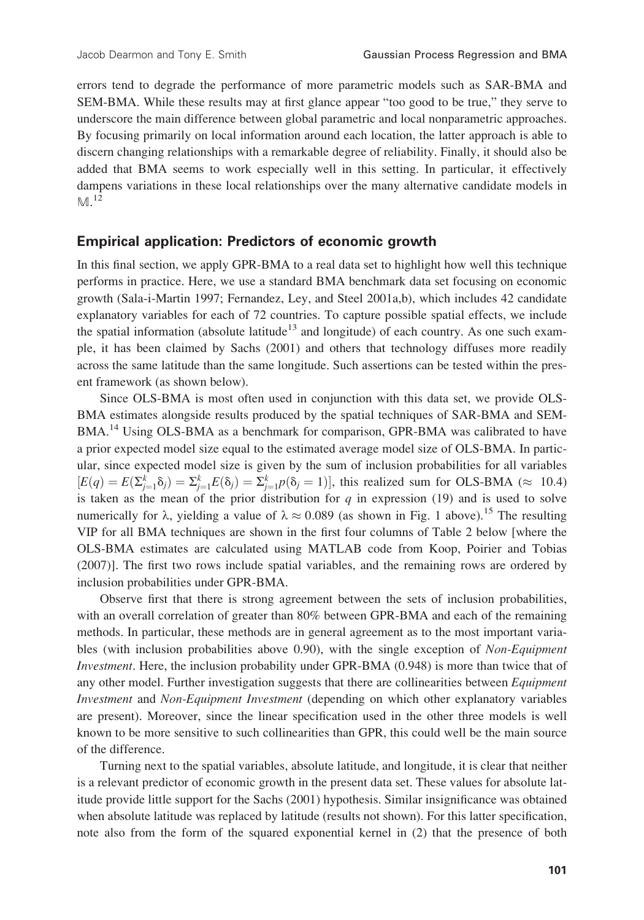errors tend to degrade the performance of more parametric models such as SAR-BMA and SEM-BMA. While these results may at first glance appear "too good to be true," they serve to underscore the main difference between global parametric and local nonparametric approaches. By focusing primarily on local information around each location, the latter approach is able to discern changing relationships with a remarkable degree of reliability. Finally, it should also be added that BMA seems to work especially well in this setting. In particular, it effectively dampens variations in these local relationships over the many alternative candidate models in  $\mathbb{M}$ .<sup>12</sup>

#### Empirical application: Predictors of economic growth

In this final section, we apply GPR-BMA to a real data set to highlight how well this technique performs in practice. Here, we use a standard BMA benchmark data set focusing on economic growth (Sala-i-Martin 1997; Fernandez, Ley, and Steel 2001a,b), which includes 42 candidate explanatory variables for each of 72 countries. To capture possible spatial effects, we include the spatial information (absolute latitude<sup>13</sup> and longitude) of each country. As one such example, it has been claimed by Sachs (2001) and others that technology diffuses more readily across the same latitude than the same longitude. Such assertions can be tested within the present framework (as shown below).

Since OLS-BMA is most often used in conjunction with this data set, we provide OLS-BMA estimates alongside results produced by the spatial techniques of SAR-BMA and SEM-BMA.<sup>14</sup> Using OLS-BMA as a benchmark for comparison, GPR-BMA was calibrated to have a prior expected model size equal to the estimated average model size of OLS-BMA. In particular, since expected model size is given by the sum of inclusion probabilities for all variables  $[E(q) = E(\Sigma_{j=1}^k \delta_j) = \Sigma_{j=1}^k E(\delta_j) = \Sigma_{j=1}^k p(\delta_j = 1)]$ , this realized sum for OLS-BMA ( $\approx 10.4$ ) is taken as the mean of the prior distribution for  $q$  in expression (19) and is used to solve numerically for  $\lambda$ , yielding a value of  $\lambda \approx 0.089$  (as shown in Fig. 1 above).<sup>15</sup> The resulting VIP for all BMA techniques are shown in the first four columns of Table 2 below [where the OLS-BMA estimates are calculated using MATLAB code from Koop, Poirier and Tobias (2007)]. The first two rows include spatial variables, and the remaining rows are ordered by inclusion probabilities under GPR-BMA.

Observe first that there is strong agreement between the sets of inclusion probabilities, with an overall correlation of greater than 80% between GPR-BMA and each of the remaining methods. In particular, these methods are in general agreement as to the most important variables (with inclusion probabilities above 0.90), with the single exception of Non-Equipment Investment. Here, the inclusion probability under GPR-BMA (0.948) is more than twice that of any other model. Further investigation suggests that there are collinearities between *Equipment* Investment and Non-Equipment Investment (depending on which other explanatory variables are present). Moreover, since the linear specification used in the other three models is well known to be more sensitive to such collinearities than GPR, this could well be the main source of the difference.

Turning next to the spatial variables, absolute latitude, and longitude, it is clear that neither is a relevant predictor of economic growth in the present data set. These values for absolute latitude provide little support for the Sachs (2001) hypothesis. Similar insignificance was obtained when absolute latitude was replaced by latitude (results not shown). For this latter specification, note also from the form of the squared exponential kernel in (2) that the presence of both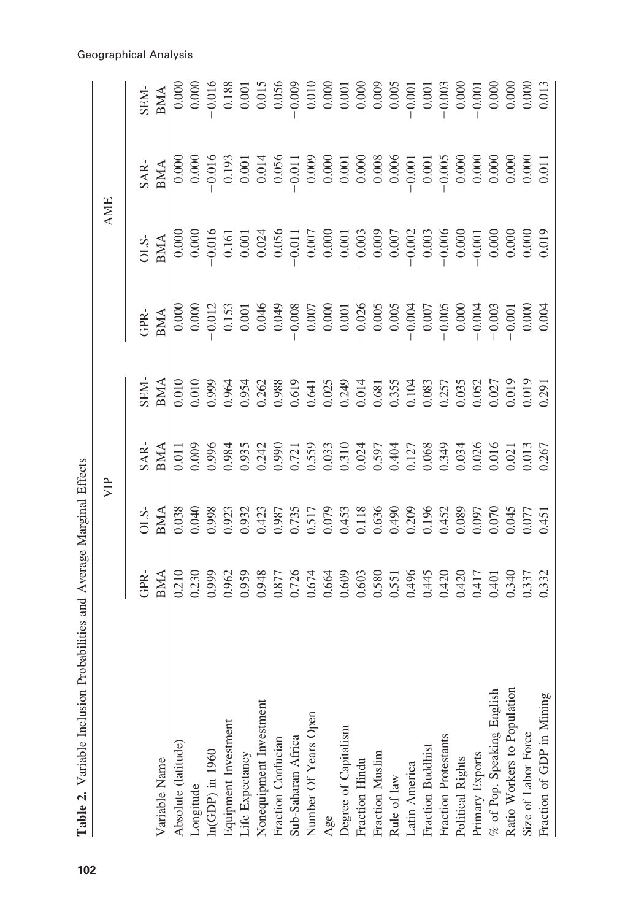# $\begin{array}{l} \texttt{K} & \texttt{M} & \texttt{M} \\ \texttt{K} & \texttt{M} & \texttt{M} \\ \texttt{M} & \texttt{M} & \texttt{M} \\ \texttt{M} & \texttt{M} & \texttt{M} \\ \texttt{M} & \texttt{M} & \texttt{M} \\ \texttt{M} & \texttt{M} & \texttt{M} \\ \texttt{M} & \texttt{M} & \texttt{M} \\ \texttt{M} & \texttt{M} & \texttt{M} \\ \texttt{M} & \texttt{M} & \texttt{M} \\ \texttt{M} & \texttt{M} & \texttt{M} \\ \texttt$ **AME** VIP AME

Table 2. Variable Inclusion Probabilities and Average Marginal Effects Table 2. Variable Inclusion Probabilities and Average Marginal Effects

 $\overline{\mathbb{F}}$ 

| Variable Name                                                      | GPR-<br>BMA | OLS-<br>BMA | SAR-<br>BMA | SEM-<br>BMA |                                                                                                                                                                                                                                                                                                                                                                                                                                                                                                  | OLS-<br>BMA |                                                                                                                                                                                                                                                                                                                                                                                                                                                               |
|--------------------------------------------------------------------|-------------|-------------|-------------|-------------|--------------------------------------------------------------------------------------------------------------------------------------------------------------------------------------------------------------------------------------------------------------------------------------------------------------------------------------------------------------------------------------------------------------------------------------------------------------------------------------------------|-------------|---------------------------------------------------------------------------------------------------------------------------------------------------------------------------------------------------------------------------------------------------------------------------------------------------------------------------------------------------------------------------------------------------------------------------------------------------------------|
| Absolute (latitude)                                                |             |             |             |             | $\begin{array}{r} \text{GR} \\ \text{HM} \\ \text{AM} \\ \text{OM} \\ \text{OM} \\ \text{OM} \\ \text{OM} \\ \text{OM} \\ \text{OM} \\ \text{OM} \\ \text{OM} \\ \text{OM} \\ \text{OM} \\ \text{OM} \\ \text{OM} \\ \text{OM} \\ \text{OM} \\ \text{OM} \\ \text{OM} \\ \text{OM} \\ \text{OM} \\ \text{OM} \\ \text{OM} \\ \text{OM} \\ \text{OM} \\ \text{OM} \\ \text{OM} \\ \text{OM} \\ \text{OM} \\ \text{OM} \\ \text{OM} \\ \text{OM} \\ \text{OM} \\ \text{OM} \\ \text{OM} \\ \text{$ |             | $\begin{array}{r} \text{SEM} \\ \text{SUM} \\ \text{MAM} \\ \text{MAM} \\ \text{MAM} \\ \text{MAM} \\ \text{MAM} \\ \text{MAM} \\ \text{MAM} \\ \text{MAM} \\ \text{MAM} \\ \text{MAM} \\ \text{MAM} \\ \text{MAM} \\ \text{MAM} \\ \text{MAM} \\ \text{MAM} \\ \text{MAM} \\ \text{MAM} \\ \text{MAM} \\ \text{MAM} \\ \text{MAM} \\ \text{MAM} \\ \text{MAM} \\ \text{MAM} \\ \text{MAM} \\ \text{MAM} \\ \text{MAM} \\ \text{MAM} \\ \text{MAM} \\ \text{$ |
| -ongitude                                                          |             |             |             |             |                                                                                                                                                                                                                                                                                                                                                                                                                                                                                                  |             |                                                                                                                                                                                                                                                                                                                                                                                                                                                               |
| $\rm n(GDP)$ in 1960                                               |             |             |             |             |                                                                                                                                                                                                                                                                                                                                                                                                                                                                                                  |             |                                                                                                                                                                                                                                                                                                                                                                                                                                                               |
|                                                                    |             |             |             |             |                                                                                                                                                                                                                                                                                                                                                                                                                                                                                                  |             |                                                                                                                                                                                                                                                                                                                                                                                                                                                               |
| Equipment Investment<br>Life Expectancy<br>Nonequipment Investment |             |             |             |             |                                                                                                                                                                                                                                                                                                                                                                                                                                                                                                  |             |                                                                                                                                                                                                                                                                                                                                                                                                                                                               |
|                                                                    |             |             |             |             |                                                                                                                                                                                                                                                                                                                                                                                                                                                                                                  |             |                                                                                                                                                                                                                                                                                                                                                                                                                                                               |
| Fraction Confucian                                                 |             |             |             |             |                                                                                                                                                                                                                                                                                                                                                                                                                                                                                                  |             |                                                                                                                                                                                                                                                                                                                                                                                                                                                               |
| Sub-Saharan Africa                                                 |             |             |             |             |                                                                                                                                                                                                                                                                                                                                                                                                                                                                                                  |             |                                                                                                                                                                                                                                                                                                                                                                                                                                                               |
| Number Of Years Open                                               |             |             |             |             |                                                                                                                                                                                                                                                                                                                                                                                                                                                                                                  |             |                                                                                                                                                                                                                                                                                                                                                                                                                                                               |
| Age                                                                |             |             |             |             |                                                                                                                                                                                                                                                                                                                                                                                                                                                                                                  |             |                                                                                                                                                                                                                                                                                                                                                                                                                                                               |
| begree of Capitalism                                               |             |             |             |             |                                                                                                                                                                                                                                                                                                                                                                                                                                                                                                  |             |                                                                                                                                                                                                                                                                                                                                                                                                                                                               |
| Fraction Hindu                                                     |             |             |             |             |                                                                                                                                                                                                                                                                                                                                                                                                                                                                                                  |             |                                                                                                                                                                                                                                                                                                                                                                                                                                                               |
|                                                                    |             |             |             |             |                                                                                                                                                                                                                                                                                                                                                                                                                                                                                                  |             |                                                                                                                                                                                                                                                                                                                                                                                                                                                               |
| Fraction Muslim<br>Rule of law<br>Latin America                    |             |             |             |             |                                                                                                                                                                                                                                                                                                                                                                                                                                                                                                  |             |                                                                                                                                                                                                                                                                                                                                                                                                                                                               |
|                                                                    |             |             |             |             |                                                                                                                                                                                                                                                                                                                                                                                                                                                                                                  |             |                                                                                                                                                                                                                                                                                                                                                                                                                                                               |
| Fraction Buddhist                                                  |             |             |             |             |                                                                                                                                                                                                                                                                                                                                                                                                                                                                                                  |             |                                                                                                                                                                                                                                                                                                                                                                                                                                                               |
| Fraction Protestants                                               |             |             |             |             |                                                                                                                                                                                                                                                                                                                                                                                                                                                                                                  |             |                                                                                                                                                                                                                                                                                                                                                                                                                                                               |
| Political Rights                                                   |             |             |             |             |                                                                                                                                                                                                                                                                                                                                                                                                                                                                                                  |             |                                                                                                                                                                                                                                                                                                                                                                                                                                                               |
| Primary Exports                                                    |             |             |             |             |                                                                                                                                                                                                                                                                                                                                                                                                                                                                                                  |             |                                                                                                                                                                                                                                                                                                                                                                                                                                                               |
| $\%$ of Pop. Speaking English                                      |             |             |             |             |                                                                                                                                                                                                                                                                                                                                                                                                                                                                                                  |             |                                                                                                                                                                                                                                                                                                                                                                                                                                                               |
| Ratio Workers to Population                                        |             |             |             |             |                                                                                                                                                                                                                                                                                                                                                                                                                                                                                                  |             |                                                                                                                                                                                                                                                                                                                                                                                                                                                               |
| Size of Labor Force                                                |             |             |             |             |                                                                                                                                                                                                                                                                                                                                                                                                                                                                                                  |             |                                                                                                                                                                                                                                                                                                                                                                                                                                                               |
| Fraction of GDP in Mining                                          |             |             |             |             |                                                                                                                                                                                                                                                                                                                                                                                                                                                                                                  |             |                                                                                                                                                                                                                                                                                                                                                                                                                                                               |

#### Geographical Analysis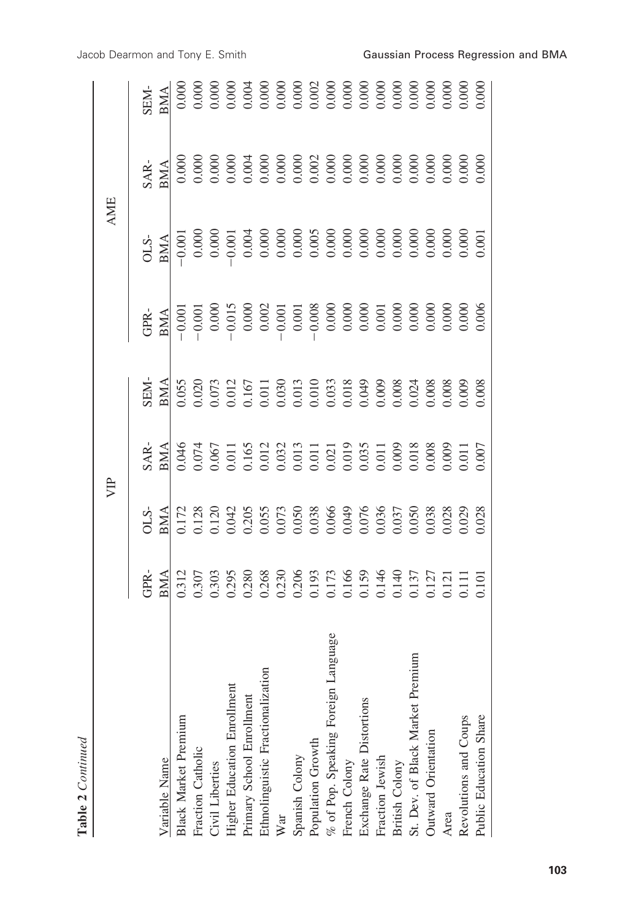| r |
|---|
|   |
|   |
|   |
|   |
|   |
|   |
|   |
|   |
|   |
|   |

|                                     |                                                                                                                                                                                                                                                                                                     |                                                                                                                                                                                                                                                                                                     | УP                                                                                                                                                                                                                                                                                                  |                                                                                                                                                                                                                                                                                                     |             | <b>AME</b> |            |            |
|-------------------------------------|-----------------------------------------------------------------------------------------------------------------------------------------------------------------------------------------------------------------------------------------------------------------------------------------------------|-----------------------------------------------------------------------------------------------------------------------------------------------------------------------------------------------------------------------------------------------------------------------------------------------------|-----------------------------------------------------------------------------------------------------------------------------------------------------------------------------------------------------------------------------------------------------------------------------------------------------|-----------------------------------------------------------------------------------------------------------------------------------------------------------------------------------------------------------------------------------------------------------------------------------------------------|-------------|------------|------------|------------|
|                                     | GPR-                                                                                                                                                                                                                                                                                                |                                                                                                                                                                                                                                                                                                     |                                                                                                                                                                                                                                                                                                     |                                                                                                                                                                                                                                                                                                     |             | -STC       | SAR-       | SEM-       |
| Variable Name                       | $\underline{\text{BMA}}$                                                                                                                                                                                                                                                                            | <b>ANIS</b><br>BMA                                                                                                                                                                                                                                                                                  | SAR-<br>BMA                                                                                                                                                                                                                                                                                         | SEM-<br>BMA                                                                                                                                                                                                                                                                                         | GPR-<br>BMA | <b>BMA</b> | <b>BMA</b> | <b>BMA</b> |
| Black Market Premium                |                                                                                                                                                                                                                                                                                                     |                                                                                                                                                                                                                                                                                                     |                                                                                                                                                                                                                                                                                                     |                                                                                                                                                                                                                                                                                                     |             |            |            |            |
| Fraction Catholic                   |                                                                                                                                                                                                                                                                                                     |                                                                                                                                                                                                                                                                                                     |                                                                                                                                                                                                                                                                                                     |                                                                                                                                                                                                                                                                                                     |             |            |            |            |
| Civil Liberties                     |                                                                                                                                                                                                                                                                                                     |                                                                                                                                                                                                                                                                                                     |                                                                                                                                                                                                                                                                                                     |                                                                                                                                                                                                                                                                                                     |             |            |            |            |
| Higher Education Enrollment         | $\begin{array}{l} 312 \\ 0.307 \\ 0.308 \\ 0.308 \\ 0.288 \\ 0.288 \\ 0.208 \\ 0.209 \\ 0.209 \\ 0.209 \\ 0.209 \\ 0.209 \\ 0.209 \\ 0.209 \\ 0.209 \\ 0.209 \\ 0.209 \\ 0.209 \\ 0.201 \\ 0.201 \\ 0.201 \\ 0.201 \\ 0.201 \\ 0.201 \\ 0.201 \\ 0.201 \\ 0.201 \\ 0.201 \\ 0.201 \\ 0.201 \\ 0.20$ | $\begin{array}{l} 172 \\ 0.128 \\ 0.042 \\ 0.050 \\ 0.050 \\ 0.050 \\ 0.050 \\ 0.050 \\ 0.050 \\ 0.050 \\ 0.050 \\ 0.050 \\ 0.050 \\ 0.050 \\ 0.050 \\ 0.050 \\ 0.050 \\ 0.050 \\ 0.050 \\ 0.050 \\ 0.050 \\ 0.050 \\ 0.050 \\ 0.050 \\ 0.050 \\ 0.050 \\ 0.050 \\ 0.050 \\ 0.050 \\ 0.050 \\ 0.05$ | $\begin{array}{l} 0.046 \\ 0.074 \\ 0.060 \\ 0.010 \\ 0.010 \\ 0.000 \\ 0.011 \\ 0.000 \\ 0.011 \\ 0.011 \\ 0.011 \\ 0.011 \\ 0.000 \\ 0.000 \\ 0.000 \\ 0.000 \\ 0.000 \\ 0.000 \\ 0.000 \\ 0.000 \\ 0.000 \\ 0.000 \\ 0.000 \\ 0.000 \\ 0.000 \\ 0.000 \\ 0.000 \\ 0.000 \\ 0.000 \\ 0.000 \\ 0.$ | $\begin{array}{l} 555 \\ 0.050 \\ 0.071 \\ 0.011 \\ 0.000 \\ 0.000 \\ 0.000 \\ 0.000 \\ 0.000 \\ 0.000 \\ 0.000 \\ 0.000 \\ 0.000 \\ 0.000 \\ 0.000 \\ 0.000 \\ 0.000 \\ 0.000 \\ 0.000 \\ 0.000 \\ 0.000 \\ 0.000 \\ 0.000 \\ 0.000 \\ 0.000 \\ 0.000 \\ 0.000 \\ 0.000 \\ 0.000 \\ 0.000 \\ 0.00$ |             |            |            |            |
| Primary School Enrollment           |                                                                                                                                                                                                                                                                                                     |                                                                                                                                                                                                                                                                                                     |                                                                                                                                                                                                                                                                                                     |                                                                                                                                                                                                                                                                                                     |             |            |            |            |
| Ethnolinguistic Fractionalization   |                                                                                                                                                                                                                                                                                                     |                                                                                                                                                                                                                                                                                                     |                                                                                                                                                                                                                                                                                                     |                                                                                                                                                                                                                                                                                                     |             |            |            |            |
| War                                 |                                                                                                                                                                                                                                                                                                     |                                                                                                                                                                                                                                                                                                     |                                                                                                                                                                                                                                                                                                     |                                                                                                                                                                                                                                                                                                     |             |            |            |            |
| Spanish Colony                      |                                                                                                                                                                                                                                                                                                     |                                                                                                                                                                                                                                                                                                     |                                                                                                                                                                                                                                                                                                     |                                                                                                                                                                                                                                                                                                     |             |            |            |            |
| Population Growth                   |                                                                                                                                                                                                                                                                                                     |                                                                                                                                                                                                                                                                                                     |                                                                                                                                                                                                                                                                                                     |                                                                                                                                                                                                                                                                                                     |             |            |            |            |
| % of Pop. Speaking Foreign Language |                                                                                                                                                                                                                                                                                                     |                                                                                                                                                                                                                                                                                                     |                                                                                                                                                                                                                                                                                                     |                                                                                                                                                                                                                                                                                                     |             |            |            |            |
| French Colony                       |                                                                                                                                                                                                                                                                                                     |                                                                                                                                                                                                                                                                                                     |                                                                                                                                                                                                                                                                                                     |                                                                                                                                                                                                                                                                                                     |             |            |            |            |
| Exchange Rate Distortions           |                                                                                                                                                                                                                                                                                                     |                                                                                                                                                                                                                                                                                                     |                                                                                                                                                                                                                                                                                                     |                                                                                                                                                                                                                                                                                                     |             |            |            |            |
| Fraction Jewish                     |                                                                                                                                                                                                                                                                                                     |                                                                                                                                                                                                                                                                                                     |                                                                                                                                                                                                                                                                                                     |                                                                                                                                                                                                                                                                                                     |             |            |            |            |
| <b>British Colony</b>               |                                                                                                                                                                                                                                                                                                     |                                                                                                                                                                                                                                                                                                     |                                                                                                                                                                                                                                                                                                     |                                                                                                                                                                                                                                                                                                     |             |            |            |            |
| St. Dev. of Black Market Premium    |                                                                                                                                                                                                                                                                                                     |                                                                                                                                                                                                                                                                                                     |                                                                                                                                                                                                                                                                                                     |                                                                                                                                                                                                                                                                                                     |             |            |            |            |
| Outward Orientation                 |                                                                                                                                                                                                                                                                                                     |                                                                                                                                                                                                                                                                                                     |                                                                                                                                                                                                                                                                                                     |                                                                                                                                                                                                                                                                                                     |             |            |            |            |
| Area                                |                                                                                                                                                                                                                                                                                                     |                                                                                                                                                                                                                                                                                                     |                                                                                                                                                                                                                                                                                                     |                                                                                                                                                                                                                                                                                                     |             |            |            |            |
| Revolutions and Coups               |                                                                                                                                                                                                                                                                                                     |                                                                                                                                                                                                                                                                                                     |                                                                                                                                                                                                                                                                                                     |                                                                                                                                                                                                                                                                                                     |             |            |            |            |
| Public Education Share              |                                                                                                                                                                                                                                                                                                     |                                                                                                                                                                                                                                                                                                     |                                                                                                                                                                                                                                                                                                     |                                                                                                                                                                                                                                                                                                     |             |            |            |            |
|                                     |                                                                                                                                                                                                                                                                                                     |                                                                                                                                                                                                                                                                                                     |                                                                                                                                                                                                                                                                                                     |                                                                                                                                                                                                                                                                                                     |             |            |            |            |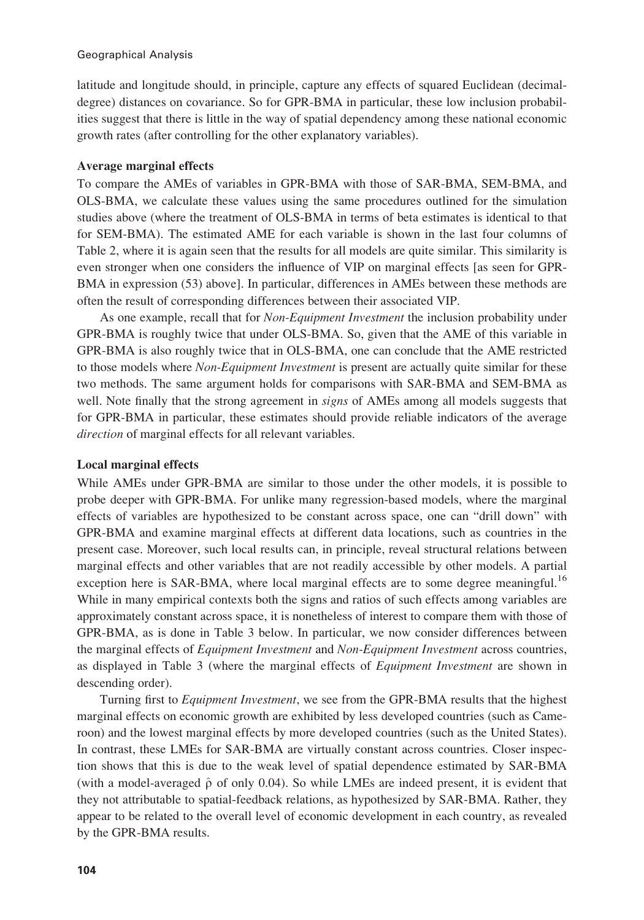#### Geographical Analysis

latitude and longitude should, in principle, capture any effects of squared Euclidean (decimaldegree) distances on covariance. So for GPR-BMA in particular, these low inclusion probabilities suggest that there is little in the way of spatial dependency among these national economic growth rates (after controlling for the other explanatory variables).

#### Average marginal effects

To compare the AMEs of variables in GPR-BMA with those of SAR-BMA, SEM-BMA, and OLS-BMA, we calculate these values using the same procedures outlined for the simulation studies above (where the treatment of OLS-BMA in terms of beta estimates is identical to that for SEM-BMA). The estimated AME for each variable is shown in the last four columns of Table 2, where it is again seen that the results for all models are quite similar. This similarity is even stronger when one considers the influence of VIP on marginal effects [as seen for GPR-BMA in expression (53) above]. In particular, differences in AMEs between these methods are often the result of corresponding differences between their associated VIP.

As one example, recall that for *Non-Equipment Investment* the inclusion probability under GPR-BMA is roughly twice that under OLS-BMA. So, given that the AME of this variable in GPR-BMA is also roughly twice that in OLS-BMA, one can conclude that the AME restricted to those models where Non-Equipment Investment is present are actually quite similar for these two methods. The same argument holds for comparisons with SAR-BMA and SEM-BMA as well. Note finally that the strong agreement in *signs* of AMEs among all models suggests that for GPR-BMA in particular, these estimates should provide reliable indicators of the average direction of marginal effects for all relevant variables.

#### Local marginal effects

While AMEs under GPR-BMA are similar to those under the other models, it is possible to probe deeper with GPR-BMA. For unlike many regression-based models, where the marginal effects of variables are hypothesized to be constant across space, one can "drill down" with GPR-BMA and examine marginal effects at different data locations, such as countries in the present case. Moreover, such local results can, in principle, reveal structural relations between marginal effects and other variables that are not readily accessible by other models. A partial exception here is SAR-BMA, where local marginal effects are to some degree meaningful.<sup>16</sup> While in many empirical contexts both the signs and ratios of such effects among variables are approximately constant across space, it is nonetheless of interest to compare them with those of GPR-BMA, as is done in Table 3 below. In particular, we now consider differences between the marginal effects of *Equipment Investment* and *Non-Equipment Investment* across countries, as displayed in Table 3 (where the marginal effects of *Equipment Investment* are shown in descending order).

Turning first to Equipment Investment, we see from the GPR-BMA results that the highest marginal effects on economic growth are exhibited by less developed countries (such as Cameroon) and the lowest marginal effects by more developed countries (such as the United States). In contrast, these LMEs for SAR-BMA are virtually constant across countries. Closer inspection shows that this is due to the weak level of spatial dependence estimated by SAR-BMA (with a model-averaged  $\hat{\rho}$  of only 0.04). So while LMEs are indeed present, it is evident that they not attributable to spatial-feedback relations, as hypothesized by SAR-BMA. Rather, they appear to be related to the overall level of economic development in each country, as revealed by the GPR-BMA results.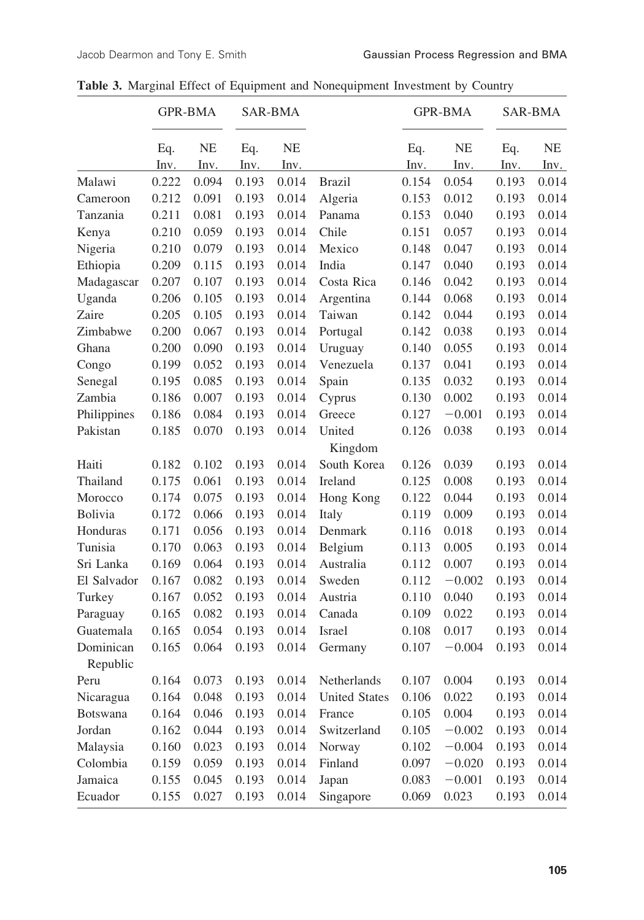|                       | GPR-BMA |           |       | SAR-BMA        |                      |               | <b>GPR-BMA</b> | SAR-BMA |               |
|-----------------------|---------|-----------|-------|----------------|----------------------|---------------|----------------|---------|---------------|
|                       | Eq.     | <b>NE</b> | Eq.   | <b>NE</b>      |                      | Eq.           | <b>NE</b>      | Eq.     | <b>NE</b>     |
| Malawi                | Inv.    | Inv.      | Inv.  | Inv.           | <b>Brazil</b>        | Inv.<br>0.154 | Inv.           | Inv.    | Inv.<br>0.014 |
|                       | 0.222   | 0.094     | 0.193 | 0.014<br>0.014 |                      |               | 0.054          | 0.193   | 0.014         |
| Cameroon              | 0.212   | 0.091     | 0.193 |                | Algeria              | 0.153         | 0.012          | 0.193   |               |
| Tanzania              | 0.211   | 0.081     | 0.193 | 0.014          | Panama<br>Chile      | 0.153         | 0.040          | 0.193   | 0.014         |
| Kenya                 | 0.210   | 0.059     | 0.193 | 0.014          | Mexico               | 0.151         | 0.057          | 0.193   | 0.014         |
| Nigeria               | 0.210   | 0.079     | 0.193 | 0.014          |                      | 0.148         | 0.047          | 0.193   | 0.014         |
| Ethiopia              | 0.209   | 0.115     | 0.193 | 0.014          | India                | 0.147         | 0.040          | 0.193   | 0.014         |
| Madagascar            | 0.207   | 0.107     | 0.193 | 0.014          | Costa Rica           | 0.146         | 0.042          | 0.193   | 0.014         |
| Uganda                | 0.206   | 0.105     | 0.193 | 0.014          | Argentina            | 0.144         | 0.068          | 0.193   | 0.014         |
| Zaire                 | 0.205   | 0.105     | 0.193 | 0.014          | Taiwan               | 0.142         | 0.044          | 0.193   | 0.014         |
| Zimbabwe              | 0.200   | 0.067     | 0.193 | 0.014          | Portugal             | 0.142         | 0.038          | 0.193   | 0.014         |
| Ghana                 | 0.200   | 0.090     | 0.193 | 0.014          | Uruguay              | 0.140         | 0.055          | 0.193   | 0.014         |
| Congo                 | 0.199   | 0.052     | 0.193 | 0.014          | Venezuela            | 0.137         | 0.041          | 0.193   | 0.014         |
| Senegal               | 0.195   | 0.085     | 0.193 | 0.014          | Spain                | 0.135         | 0.032          | 0.193   | 0.014         |
| Zambia                | 0.186   | 0.007     | 0.193 | 0.014          | Cyprus               | 0.130         | 0.002          | 0.193   | 0.014         |
| Philippines           | 0.186   | 0.084     | 0.193 | 0.014          | Greece               | 0.127         | $-0.001$       | 0.193   | 0.014         |
| Pakistan              | 0.185   | 0.070     | 0.193 | 0.014          | United<br>Kingdom    | 0.126         | 0.038          | 0.193   | 0.014         |
| Haiti                 | 0.182   | 0.102     | 0.193 | 0.014          | South Korea          | 0.126         | 0.039          | 0.193   | 0.014         |
| Thailand              | 0.175   | 0.061     | 0.193 | 0.014          | Ireland              | 0.125         | 0.008          | 0.193   | 0.014         |
| Morocco               | 0.174   | 0.075     | 0.193 | 0.014          | Hong Kong            | 0.122         | 0.044          | 0.193   | 0.014         |
| Bolivia               | 0.172   | 0.066     | 0.193 | 0.014          | Italy                | 0.119         | 0.009          | 0.193   | 0.014         |
| Honduras              | 0.171   | 0.056     | 0.193 | 0.014          | Denmark              | 0.116         | 0.018          | 0.193   | 0.014         |
| Tunisia               | 0.170   | 0.063     | 0.193 | 0.014          | Belgium              | 0.113         | 0.005          | 0.193   | 0.014         |
| Sri Lanka             | 0.169   | 0.064     | 0.193 | 0.014          | Australia            | 0.112         | 0.007          | 0.193   | 0.014         |
| El Salvador           | 0.167   | 0.082     | 0.193 | 0.014          | Sweden               | 0.112         | $-0.002$       | 0.193   | 0.014         |
| Turkey                | 0.167   | 0.052     | 0.193 | 0.014          | Austria              | 0.110         | 0.040          | 0.193   | 0.014         |
| Paraguay              | 0.165   | 0.082     | 0.193 | 0.014          | Canada               | 0.109         | 0.022          | 0.193   | 0.014         |
| Guatemala             | 0.165   | 0.054     | 0.193 | 0.014          | Israel               | 0.108         | 0.017          | 0.193   | 0.014         |
| Dominican<br>Republic | 0.165   | 0.064     | 0.193 | 0.014          | Germany              | 0.107         | $-0.004$       | 0.193   | 0.014         |
| Peru                  | 0.164   | 0.073     | 0.193 | 0.014          | Netherlands          | 0.107         | 0.004          | 0.193   | 0.014         |
| Nicaragua             | 0.164   | 0.048     | 0.193 | 0.014          | <b>United States</b> | 0.106         | 0.022          | 0.193   | 0.014         |
| Botswana              | 0.164   | 0.046     | 0.193 | 0.014          | France               | 0.105         | 0.004          | 0.193   | 0.014         |
| Jordan                | 0.162   | 0.044     | 0.193 | 0.014          | Switzerland          | 0.105         | $-0.002$       | 0.193   | 0.014         |
| Malaysia              | 0.160   | 0.023     | 0.193 | 0.014          | Norway               | 0.102         | $-0.004$       | 0.193   | 0.014         |
| Colombia              | 0.159   | 0.059     | 0.193 | 0.014          | Finland              | 0.097         | $-0.020$       | 0.193   | 0.014         |
| Jamaica               | 0.155   | 0.045     | 0.193 | 0.014          | Japan                | 0.083         | $-0.001$       | 0.193   | 0.014         |
| Ecuador               | 0.155   | 0.027     | 0.193 | 0.014          | Singapore            | 0.069         | 0.023          | 0.193   | 0.014         |

Table 3. Marginal Effect of Equipment and Nonequipment Investment by Country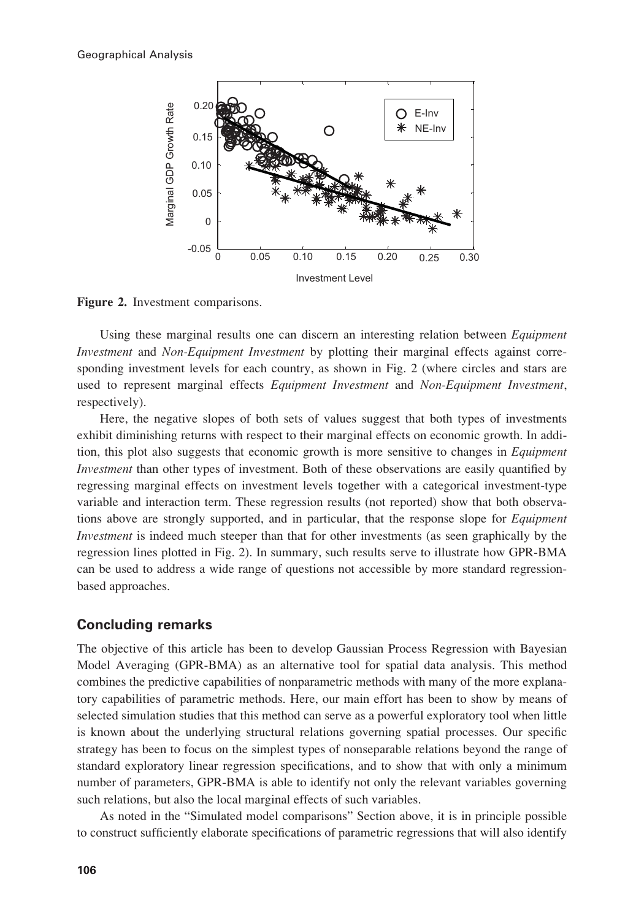

Figure 2. Investment comparisons.

Using these marginal results one can discern an interesting relation between Equipment Investment and Non-Equipment Investment by plotting their marginal effects against corresponding investment levels for each country, as shown in Fig. 2 (where circles and stars are used to represent marginal effects Equipment Investment and Non-Equipment Investment, respectively).

Here, the negative slopes of both sets of values suggest that both types of investments exhibit diminishing returns with respect to their marginal effects on economic growth. In addition, this plot also suggests that economic growth is more sensitive to changes in *Equipment* Investment than other types of investment. Both of these observations are easily quantified by regressing marginal effects on investment levels together with a categorical investment-type variable and interaction term. These regression results (not reported) show that both observations above are strongly supported, and in particular, that the response slope for *Equipment* Investment is indeed much steeper than that for other investments (as seen graphically by the regression lines plotted in Fig. 2). In summary, such results serve to illustrate how GPR-BMA can be used to address a wide range of questions not accessible by more standard regressionbased approaches.

#### Concluding remarks

The objective of this article has been to develop Gaussian Process Regression with Bayesian Model Averaging (GPR-BMA) as an alternative tool for spatial data analysis. This method combines the predictive capabilities of nonparametric methods with many of the more explanatory capabilities of parametric methods. Here, our main effort has been to show by means of selected simulation studies that this method can serve as a powerful exploratory tool when little is known about the underlying structural relations governing spatial processes. Our specific strategy has been to focus on the simplest types of nonseparable relations beyond the range of standard exploratory linear regression specifications, and to show that with only a minimum number of parameters, GPR-BMA is able to identify not only the relevant variables governing such relations, but also the local marginal effects of such variables.

As noted in the "Simulated model comparisons" Section above, it is in principle possible to construct sufficiently elaborate specifications of parametric regressions that will also identify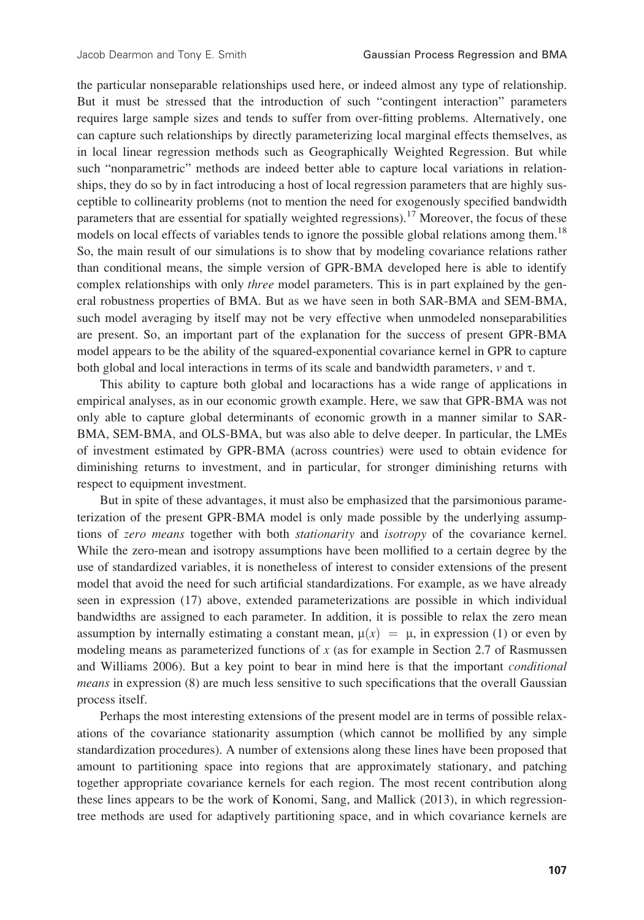the particular nonseparable relationships used here, or indeed almost any type of relationship. But it must be stressed that the introduction of such "contingent interaction" parameters requires large sample sizes and tends to suffer from over-fitting problems. Alternatively, one can capture such relationships by directly parameterizing local marginal effects themselves, as in local linear regression methods such as Geographically Weighted Regression. But while such "nonparametric" methods are indeed better able to capture local variations in relationships, they do so by in fact introducing a host of local regression parameters that are highly susceptible to collinearity problems (not to mention the need for exogenously specified bandwidth parameters that are essential for spatially weighted regressions).<sup>17</sup> Moreover, the focus of these models on local effects of variables tends to ignore the possible global relations among them.<sup>18</sup> So, the main result of our simulations is to show that by modeling covariance relations rather than conditional means, the simple version of GPR-BMA developed here is able to identify complex relationships with only *three* model parameters. This is in part explained by the general robustness properties of BMA. But as we have seen in both SAR-BMA and SEM-BMA, such model averaging by itself may not be very effective when unmodeled nonseparabilities are present. So, an important part of the explanation for the success of present GPR-BMA model appears to be the ability of the squared-exponential covariance kernel in GPR to capture both global and local interactions in terms of its scale and bandwidth parameters,  $\nu$  and  $\tau$ .

This ability to capture both global and locaractions has a wide range of applications in empirical analyses, as in our economic growth example. Here, we saw that GPR-BMA was not only able to capture global determinants of economic growth in a manner similar to SAR-BMA, SEM-BMA, and OLS-BMA, but was also able to delve deeper. In particular, the LMEs of investment estimated by GPR-BMA (across countries) were used to obtain evidence for diminishing returns to investment, and in particular, for stronger diminishing returns with respect to equipment investment.

But in spite of these advantages, it must also be emphasized that the parsimonious parameterization of the present GPR-BMA model is only made possible by the underlying assumptions of zero means together with both *stationarity* and *isotropy* of the covariance kernel. While the zero-mean and isotropy assumptions have been mollified to a certain degree by the use of standardized variables, it is nonetheless of interest to consider extensions of the present model that avoid the need for such artificial standardizations. For example, as we have already seen in expression (17) above, extended parameterizations are possible in which individual bandwidths are assigned to each parameter. In addition, it is possible to relax the zero mean assumption by internally estimating a constant mean,  $\mu(x) = \mu$ , in expression (1) or even by modeling means as parameterized functions of  $x$  (as for example in Section 2.7 of Rasmussen and Williams 2006). But a key point to bear in mind here is that the important *conditional* means in expression (8) are much less sensitive to such specifications that the overall Gaussian process itself.

Perhaps the most interesting extensions of the present model are in terms of possible relaxations of the covariance stationarity assumption (which cannot be mollified by any simple standardization procedures). A number of extensions along these lines have been proposed that amount to partitioning space into regions that are approximately stationary, and patching together appropriate covariance kernels for each region. The most recent contribution along these lines appears to be the work of Konomi, Sang, and Mallick (2013), in which regressiontree methods are used for adaptively partitioning space, and in which covariance kernels are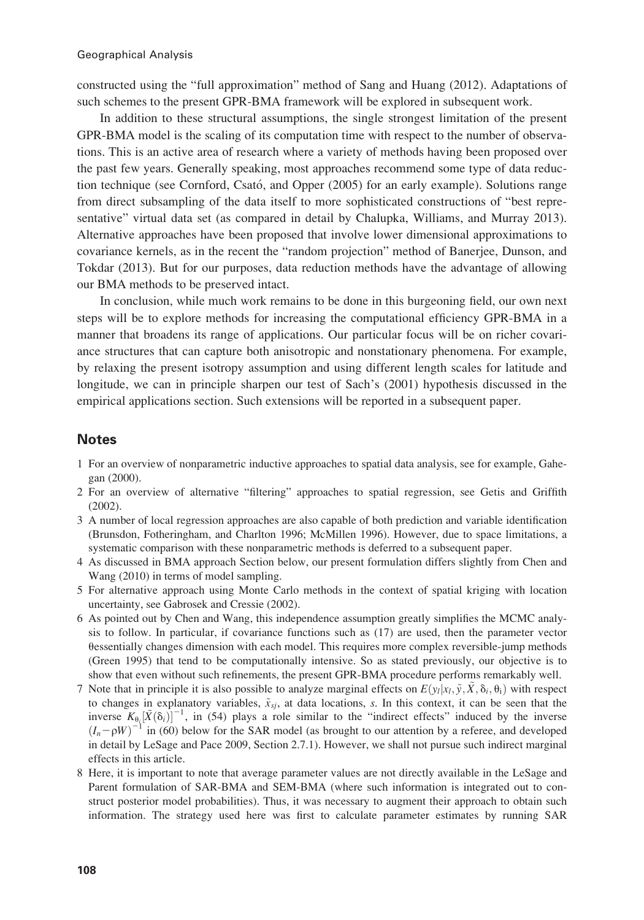constructed using the "full approximation" method of Sang and Huang (2012). Adaptations of such schemes to the present GPR-BMA framework will be explored in subsequent work.

In addition to these structural assumptions, the single strongest limitation of the present GPR-BMA model is the scaling of its computation time with respect to the number of observations. This is an active area of research where a variety of methods having been proposed over the past few years. Generally speaking, most approaches recommend some type of data reduction technique (see Cornford, Csató, and Opper (2005) for an early example). Solutions range from direct subsampling of the data itself to more sophisticated constructions of "best representative" virtual data set (as compared in detail by Chalupka, Williams, and Murray 2013). Alternative approaches have been proposed that involve lower dimensional approximations to covariance kernels, as in the recent the "random projection" method of Banerjee, Dunson, and Tokdar (2013). But for our purposes, data reduction methods have the advantage of allowing our BMA methods to be preserved intact.

In conclusion, while much work remains to be done in this burgeoning field, our own next steps will be to explore methods for increasing the computational efficiency GPR-BMA in a manner that broadens its range of applications. Our particular focus will be on richer covariance structures that can capture both anisotropic and nonstationary phenomena. For example, by relaxing the present isotropy assumption and using different length scales for latitude and longitude, we can in principle sharpen our test of Sach's (2001) hypothesis discussed in the empirical applications section. Such extensions will be reported in a subsequent paper.

#### **Notes**

- 1 For an overview of nonparametric inductive approaches to spatial data analysis, see for example, Gahegan (2000).
- 2 For an overview of alternative "filtering" approaches to spatial regression, see Getis and Griffith (2002).
- 3 A number of local regression approaches are also capable of both prediction and variable identification (Brunsdon, Fotheringham, and Charlton 1996; McMillen 1996). However, due to space limitations, a systematic comparison with these nonparametric methods is deferred to a subsequent paper.
- 4 As discussed in BMA approach Section below, our present formulation differs slightly from Chen and Wang (2010) in terms of model sampling.
- 5 For alternative approach using Monte Carlo methods in the context of spatial kriging with location uncertainty, see Gabrosek and Cressie (2002).
- 6 As pointed out by Chen and Wang, this independence assumption greatly simplifies the MCMC analysis to follow. In particular, if covariance functions such as (17) are used, then the parameter vector bessentially changes dimension with each model. This requires more complex reversible-jump methods (Green 1995) that tend to be computationally intensive. So as stated previously, our objective is to show that even without such refinements, the present GPR-BMA procedure performs remarkably well.
- 7 Note that in principle it is also possible to analyze marginal effects on  $E(y_l|x_l, \tilde{y}, \tilde{X}, \delta_i, \theta_i)$  with respect to changes in explanatory variables,  $\tilde{x}_{si}$ , at data locations, s. In this context, it can be seen that the inverse  $K_{\theta_i}[\tilde{X}(\delta_i)]^{-1}$ , in (54) plays a role similar to the "indirect effects" induced by the inverse  $(I_n - \rho W)^{-1}$  in (60) below for the SAR model (as brought to our attention by a referee, and developed in detail by LeSage and Pace 2009, Section 2.7.1). However, we shall not pursue such indirect marginal effects in this article.
- 8 Here, it is important to note that average parameter values are not directly available in the LeSage and Parent formulation of SAR-BMA and SEM-BMA (where such information is integrated out to construct posterior model probabilities). Thus, it was necessary to augment their approach to obtain such information. The strategy used here was first to calculate parameter estimates by running SAR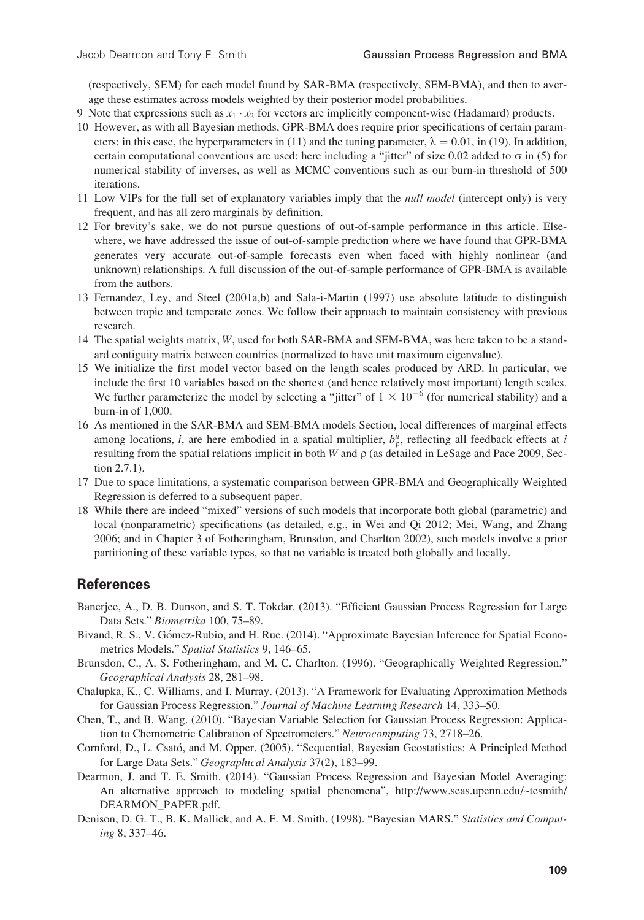(respectively, SEM) for each model found by SAR-BMA (respectively, SEM-BMA), and then to average these estimates across models weighted by their posterior model probabilities.

- 9 Note that expressions such as  $x_1 \cdot x_2$  for vectors are implicitly component-wise (Hadamard) products.
- 10 However, as with all Bayesian methods, GPR-BMA does require prior specifications of certain parameters: in this case, the hyperparameters in (11) and the tuning parameter,  $\lambda = 0.01$ , in (19). In addition, certain computational conventions are used: here including a "jitter" of size 0.02 added to  $\sigma$  in (5) for numerical stability of inverses, as well as MCMC conventions such as our burn-in threshold of 500 iterations.
- 11 Low VIPs for the full set of explanatory variables imply that the *null model* (intercept only) is very frequent, and has all zero marginals by definition.
- 12 For brevity's sake, we do not pursue questions of out-of-sample performance in this article. Elsewhere, we have addressed the issue of out-of-sample prediction where we have found that GPR-BMA generates very accurate out-of-sample forecasts even when faced with highly nonlinear (and unknown) relationships. A full discussion of the out-of-sample performance of GPR-BMA is available from the authors.
- 13 Fernandez, Ley, and Steel (2001a,b) and Sala-i-Martin (1997) use absolute latitude to distinguish between tropic and temperate zones. We follow their approach to maintain consistency with previous research.
- 14 The spatial weights matrix, W, used for both SAR-BMA and SEM-BMA, was here taken to be a standard contiguity matrix between countries (normalized to have unit maximum eigenvalue).
- 15 We initialize the first model vector based on the length scales produced by ARD. In particular, we include the first 10 variables based on the shortest (and hence relatively most important) length scales. We further parameterize the model by selecting a "jitter" of  $1 \times 10^{-6}$  (for numerical stability) and a burn-in of 1,000.
- 16 As mentioned in the SAR-BMA and SEM-BMA models Section, local differences of marginal effects among locations, *i*, are here embodied in a spatial multiplier,  $b_{\rho}^{ii}$ , reflecting all feedback effects at *i* resulting from the spatial relations implicit in both W and  $\rho$  (as detailed in LeSage and Pace 2009, Section 2.7.1).
- 17 Due to space limitations, a systematic comparison between GPR-BMA and Geographically Weighted Regression is deferred to a subsequent paper.
- 18 While there are indeed "mixed" versions of such models that incorporate both global (parametric) and local (nonparametric) specifications (as detailed, e.g., in Wei and Qi 2012; Mei, Wang, and Zhang 2006; and in Chapter 3 of Fotheringham, Brunsdon, and Charlton 2002), such models involve a prior partitioning of these variable types, so that no variable is treated both globally and locally.

#### References

- Banerjee, A., D. B. Dunson, and S. T. Tokdar. (2013). "Efficient Gaussian Process Regression for Large Data Sets." Biometrika 100, 75–89.
- Bivand, R. S., V. Gómez-Rubio, and H. Rue. (2014). "Approximate Bayesian Inference for Spatial Econometrics Models." Spatial Statistics 9, 146–65.
- Brunsdon, C., A. S. Fotheringham, and M. C. Charlton. (1996). "Geographically Weighted Regression." Geographical Analysis 28, 281–98.
- Chalupka, K., C. Williams, and I. Murray. (2013). "A Framework for Evaluating Approximation Methods for Gaussian Process Regression." Journal of Machine Learning Research 14, 333–50.
- Chen, T., and B. Wang. (2010). "Bayesian Variable Selection for Gaussian Process Regression: Application to Chemometric Calibration of Spectrometers." Neurocomputing 73, 2718–26.
- Cornford, D., L. Csató, and M. Opper. (2005). "Sequential, Bayesian Geostatistics: A Principled Method for Large Data Sets." Geographical Analysis 37(2), 183–99.
- Dearmon, J. and T. E. Smith. (2014). "Gaussian Process Regression and Bayesian Model Averaging: An alternative approach to modeling spatial phenomena", [http://www.seas.upenn.edu/~tesmith/](http://www.seas.upenn.edu/~tesmith/DEARMON_PAPER.pdf) [DEARMON\\_PAPER.pdf](http://www.seas.upenn.edu/~tesmith/DEARMON_PAPER.pdf).
- Denison, D. G. T., B. K. Mallick, and A. F. M. Smith. (1998). "Bayesian MARS." Statistics and Computing 8, 337–46.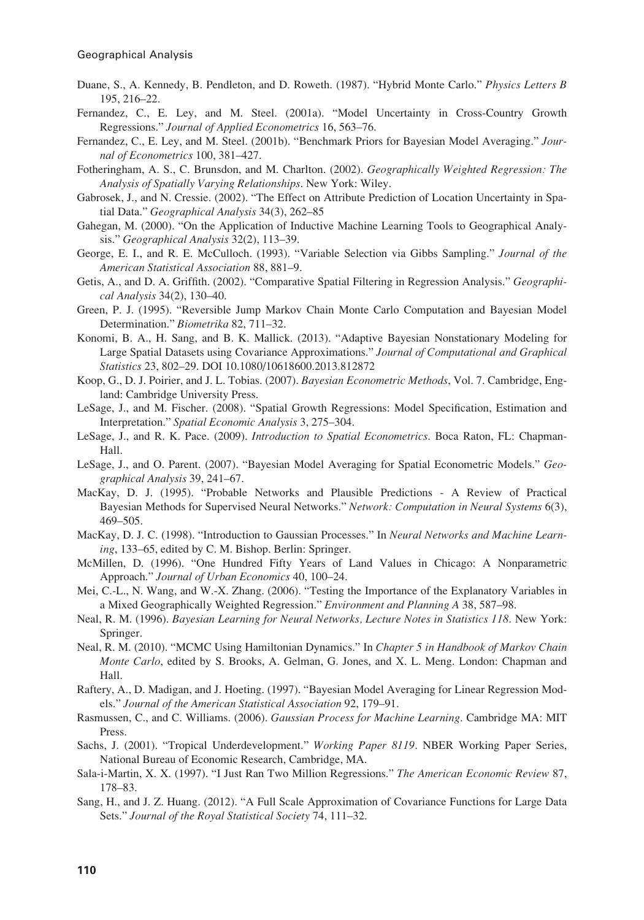- Duane, S., A. Kennedy, B. Pendleton, and D. Roweth. (1987). "Hybrid Monte Carlo." Physics Letters B 195, 216–22.
- Fernandez, C., E. Ley, and M. Steel. (2001a). "Model Uncertainty in Cross-Country Growth Regressions." Journal of Applied Econometrics 16, 563–76.
- Fernandez, C., E. Ley, and M. Steel. (2001b). "Benchmark Priors for Bayesian Model Averaging." Journal of Econometrics 100, 381–427.
- Fotheringham, A. S., C. Brunsdon, and M. Charlton. (2002). Geographically Weighted Regression: The Analysis of Spatially Varying Relationships. New York: Wiley.
- Gabrosek, J., and N. Cressie. (2002). "The Effect on Attribute Prediction of Location Uncertainty in Spatial Data." Geographical Analysis 34(3), 262–85
- Gahegan, M. (2000). "On the Application of Inductive Machine Learning Tools to Geographical Analysis." Geographical Analysis 32(2), 113–39.
- George, E. I., and R. E. McCulloch. (1993). "Variable Selection via Gibbs Sampling." Journal of the American Statistical Association 88, 881–9.
- Getis, A., and D. A. Griffith. (2002). "Comparative Spatial Filtering in Regression Analysis." Geographical Analysis 34(2), 130–40.
- Green, P. J. (1995). "Reversible Jump Markov Chain Monte Carlo Computation and Bayesian Model Determination." Biometrika 82, 711–32.
- Konomi, B. A., H. Sang, and B. K. Mallick. (2013). "Adaptive Bayesian Nonstationary Modeling for Large Spatial Datasets using Covariance Approximations." Journal of Computational and Graphical Statistics 23, 802–29. DOI 10.1080/10618600.2013.812872
- Koop, G., D. J. Poirier, and J. L. Tobias. (2007). Bayesian Econometric Methods, Vol. 7. Cambridge, England: Cambridge University Press.
- LeSage, J., and M. Fischer. (2008). "Spatial Growth Regressions: Model Specification, Estimation and Interpretation." Spatial Economic Analysis 3, 275–304.
- LeSage, J., and R. K. Pace. (2009). *Introduction to Spatial Econometrics*. Boca Raton, FL: Chapman-Hall.
- LeSage, J., and O. Parent. (2007). "Bayesian Model Averaging for Spatial Econometric Models." Geographical Analysis 39, 241–67.
- MacKay, D. J. (1995). "Probable Networks and Plausible Predictions A Review of Practical Bayesian Methods for Supervised Neural Networks." Network: Computation in Neural Systems 6(3), 469–505.
- MacKay, D. J. C. (1998). "Introduction to Gaussian Processes." In Neural Networks and Machine Learning, 133–65, edited by C. M. Bishop. Berlin: Springer.
- McMillen, D. (1996). "One Hundred Fifty Years of Land Values in Chicago: A Nonparametric Approach." Journal of Urban Economics 40, 100–24.
- Mei, C.-L., N. Wang, and W.-X. Zhang. (2006). "Testing the Importance of the Explanatory Variables in a Mixed Geographically Weighted Regression." Environment and Planning A 38, 587–98.
- Neal, R. M. (1996). Bayesian Learning for Neural Networks, Lecture Notes in Statistics 118. New York: Springer.
- Neal, R. M. (2010). "MCMC Using Hamiltonian Dynamics." In Chapter 5 in Handbook of Markov Chain Monte Carlo, edited by S. Brooks, A. Gelman, G. Jones, and X. L. Meng. London: Chapman and Hall.
- Raftery, A., D. Madigan, and J. Hoeting. (1997). "Bayesian Model Averaging for Linear Regression Models." Journal of the American Statistical Association 92, 179–91.
- Rasmussen, C., and C. Williams. (2006). Gaussian Process for Machine Learning. Cambridge MA: MIT Press.
- Sachs, J. (2001). "Tropical Underdevelopment." Working Paper 8119. NBER Working Paper Series, National Bureau of Economic Research, Cambridge, MA.
- Sala-i-Martin, X. X. (1997). "I Just Ran Two Million Regressions." The American Economic Review 87, 178–83.
- Sang, H., and J. Z. Huang. (2012). "A Full Scale Approximation of Covariance Functions for Large Data Sets." Journal of the Royal Statistical Society 74, 111–32.